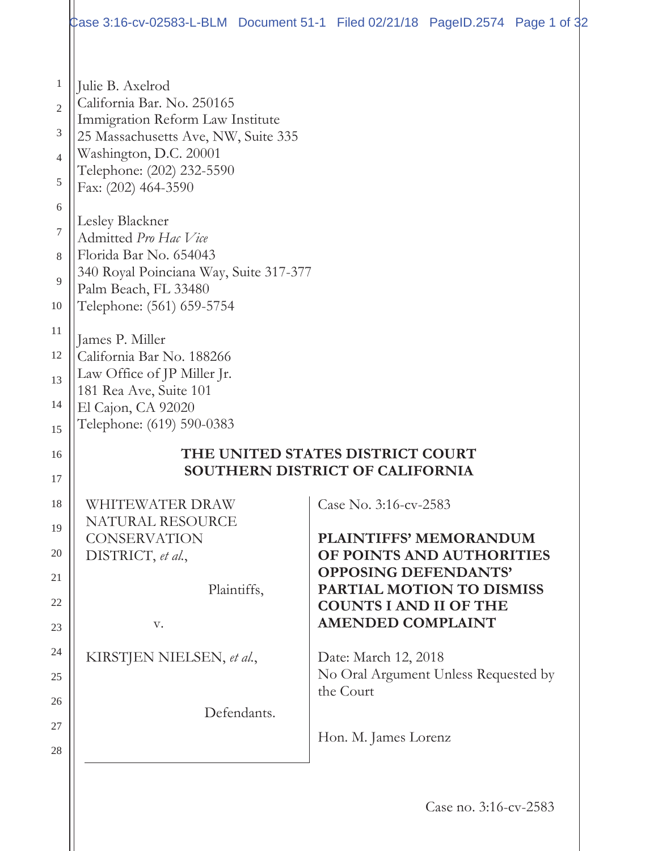| Case 3:16-cv-02583-L-BLM Document 51-1 Filed 02/21/18 PageID.2574 Page 1 of 32                                                                                                                                                                                                                                                                                               |                                                                                                                                                                                                                     |  |
|------------------------------------------------------------------------------------------------------------------------------------------------------------------------------------------------------------------------------------------------------------------------------------------------------------------------------------------------------------------------------|---------------------------------------------------------------------------------------------------------------------------------------------------------------------------------------------------------------------|--|
| Julie B. Axelrod<br>California Bar. No. 250165<br>Immigration Reform Law Institute<br>25 Massachusetts Ave, NW, Suite 335<br>Washington, D.C. 20001<br>Telephone: (202) 232-5590<br>Fax: (202) 464-3590<br>Lesley Blackner<br>Admitted Pro Hac Vice<br>Florida Bar No. 654043<br>340 Royal Poinciana Way, Suite 317-377<br>Palm Beach, FL 33480<br>Telephone: (561) 659-5754 |                                                                                                                                                                                                                     |  |
| James P. Miller<br>California Bar No. 188266<br>Law Office of JP Miller Jr.<br>181 Rea Ave, Suite 101<br>El Cajon, CA 92020<br>Telephone: (619) 590-0383                                                                                                                                                                                                                     |                                                                                                                                                                                                                     |  |
|                                                                                                                                                                                                                                                                                                                                                                              | THE UNITED STATES DISTRICT COURT<br><b>SOUTHERN DISTRICT OF CALIFORNIA</b>                                                                                                                                          |  |
| WHITEWATER DRAW<br>NATURAL RESOURCE<br><b>CONSERVATION</b><br>DISTRICT, et al.,<br>Plaintiffs,<br>V.                                                                                                                                                                                                                                                                         | Case No. 3:16-cv-2583<br><b>PLAINTIFFS' MEMORANDUM</b><br>OF POINTS AND AUTHORITIES<br><b>OPPOSING DEFENDANTS'</b><br><b>PARTIAL MOTION TO DISMISS</b><br><b>COUNTS I AND II OF THE</b><br><b>AMENDED COMPLAINT</b> |  |
| KIRSTJEN NIELSEN, et al.,<br>Defendants.                                                                                                                                                                                                                                                                                                                                     | Date: March 12, 2018<br>No Oral Argument Unless Requested by<br>the Court                                                                                                                                           |  |
|                                                                                                                                                                                                                                                                                                                                                                              | Hon. M. James Lorenz                                                                                                                                                                                                |  |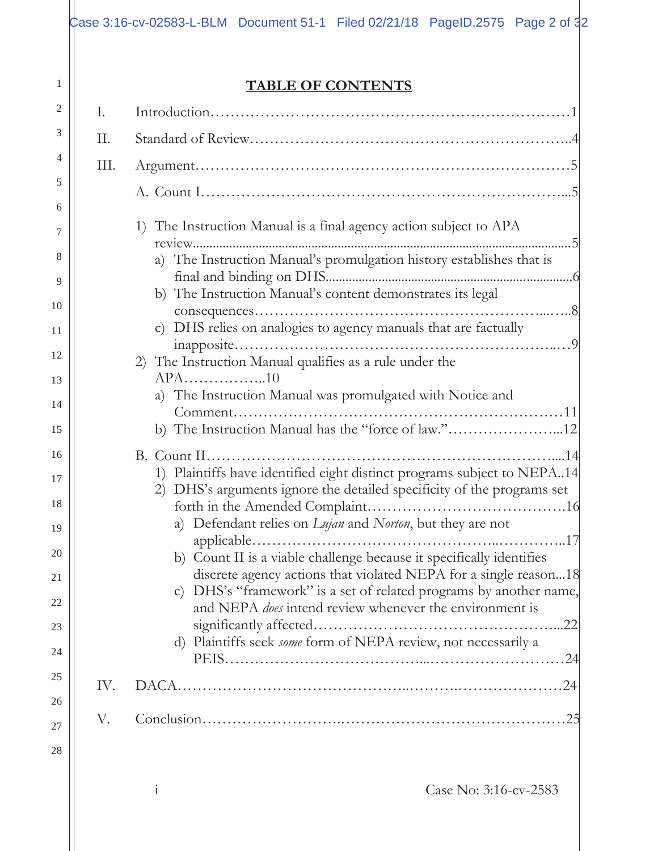# **TABLE OF CONTENTS**

| 2        | Ι.   |                                                                                                                                            |
|----------|------|--------------------------------------------------------------------------------------------------------------------------------------------|
| 3        | II.  |                                                                                                                                            |
| 4        | III. |                                                                                                                                            |
| 5        |      |                                                                                                                                            |
| 6        |      |                                                                                                                                            |
| 7        |      | 1) The Instruction Manual is a final agency action subject to APA                                                                          |
| 8        |      | a) The Instruction Manual's promulgation history establishes that is                                                                       |
| 9        |      | b) The Instruction Manual's content demonstrates its legal                                                                                 |
| 10       |      | c) DHS relies on analogies to agency manuals that are factually                                                                            |
| 11       |      |                                                                                                                                            |
| 12       |      | 2) The Instruction Manual qualifies as a rule under the<br>$APA$ 10                                                                        |
| 13<br>14 |      | a) The Instruction Manual was promulgated with Notice and                                                                                  |
| 15       |      | b) The Instruction Manual has the "force of law."12                                                                                        |
| 16       |      |                                                                                                                                            |
| 17       |      | 1) Plaintiffs have identified eight distinct programs subject to NEPA14                                                                    |
| 18       |      | 2) DHS's arguments ignore the detailed specificity of the programs set                                                                     |
| 19       |      | Defendant relies on <i>Lujan</i> and <i>Norton</i> , but they are not<br>a)                                                                |
| 20       |      | b) Count II is a viable challenge because it specifically identifies                                                                       |
| $21\,$   |      | discrete agency actions that violated NEPA for a single reason18                                                                           |
| 22       |      | DHS's "framework" is a set of related programs by another name,<br>$\mathbf{C}$<br>and NEPA does intend review whenever the environment is |
| 23       |      | .22                                                                                                                                        |
| 24       |      | d) Plaintiffs seek some form of NEPA review, not necessarily a                                                                             |
| 25       | IV.  |                                                                                                                                            |
| 26       |      |                                                                                                                                            |
| 27       | V.   | .25                                                                                                                                        |
| 28       |      |                                                                                                                                            |
|          |      | Case No: 3:16-cv-2583<br>$\mathbf{1}$                                                                                                      |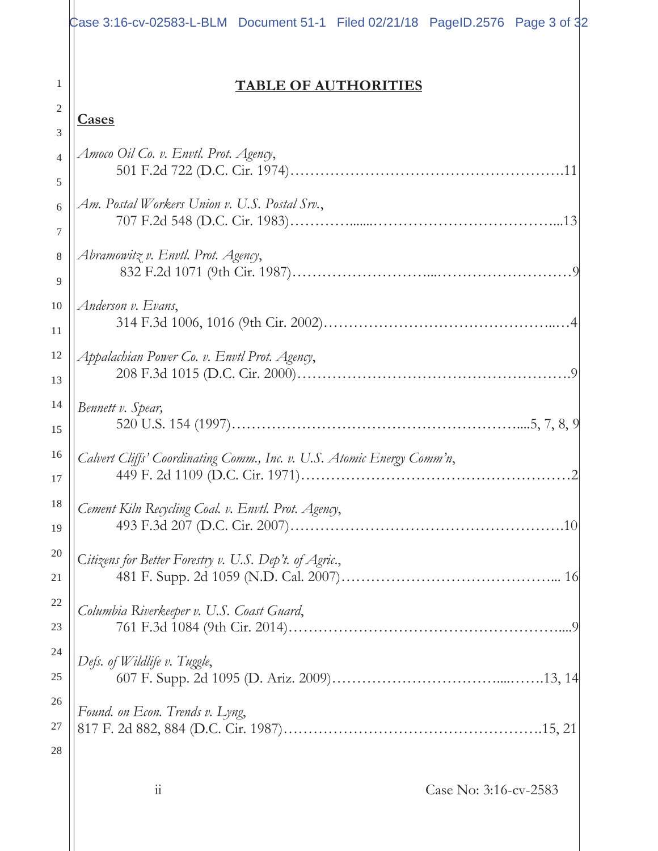| Case 3:16-cv-02583-L-BLM Document 51-1 Filed 02/21/18 PageID.2576 Page 3 of 32 |  |  |
|--------------------------------------------------------------------------------|--|--|

# **TABLE OF AUTHORITIES**

#### 2  $3$ **Cases**

| 4          | Amoco Oil Co. v. Envtl. Prot. Agency,                                  |  |  |
|------------|------------------------------------------------------------------------|--|--|
| 5          |                                                                        |  |  |
| $\sqrt{6}$ | Am. Postal Workers Union v. U.S. Postal Srv.,                          |  |  |
| 7          |                                                                        |  |  |
| $\,8\,$    | Abramowitz v. Envtl. Prot. Agency,                                     |  |  |
| 9          |                                                                        |  |  |
| 10         | Anderson v. Evans,                                                     |  |  |
| 11         |                                                                        |  |  |
| 12         | Appalachian Power Co. v. Envtl Prot. Agency,                           |  |  |
| 13         |                                                                        |  |  |
| 14         | Bennett v. Spear,                                                      |  |  |
| 15         |                                                                        |  |  |
| 16         | Calvert Cliffs' Coordinating Comm., Inc. v. U.S. Atomic Energy Comm'n, |  |  |
| 17         |                                                                        |  |  |
| 18         | Cement Kiln Recycling Coal. v. Envtl. Prot. Agency,                    |  |  |
| 19         | .10                                                                    |  |  |
| 20         | Citizens for Better Forestry v. U.S. Dep't. of Agric.,                 |  |  |
| 21         | 16                                                                     |  |  |
| 22         | Columbia Riverkeeper v. U.S. Coast Guard,                              |  |  |
| 23         |                                                                        |  |  |
| 24         | Defs. of Wildlife v. Tuggle,                                           |  |  |
| 25         |                                                                        |  |  |
| 26         | Found. on Econ. Trends v. Lyng,                                        |  |  |
| 27         |                                                                        |  |  |
| 28         |                                                                        |  |  |
|            | $\ddot{i}$<br>Case No: 3:16-cv-2583                                    |  |  |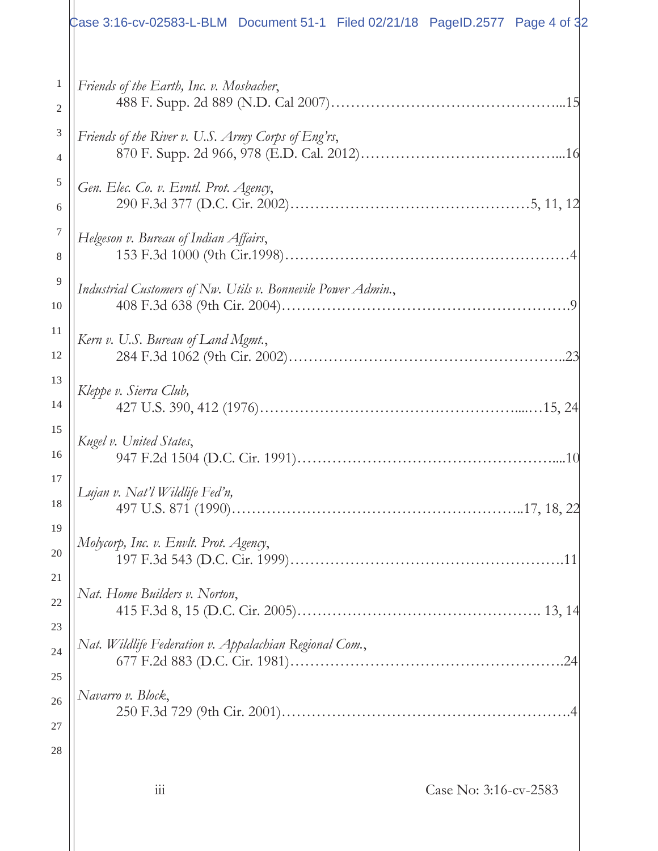|                     | Case 3:16-cv-02583-L-BLM Document 51-1 Filed 02/21/18 PageID.2577 Page 4 of 32 |
|---------------------|--------------------------------------------------------------------------------|
| 1<br>$\overline{2}$ | Friends of the Earth, Inc. v. Mosbacher,                                       |
| 3                   | Friends of the River v. U.S. Army Corps of Eng'rs,                             |
| 4<br>5              | Gen. Elec. Co. v. Evntl. Prot. Agency,                                         |
| 6<br>7              | Helgeson v. Bureau of Indian Affairs,                                          |
| 8                   |                                                                                |
| 9<br>10             | Industrial Customers of Nw. Utils v. Bonnevile Power Admin.,                   |
| 11<br>12            | Kern v. U.S. Bureau of Land Mgmt.,                                             |
| 13<br>14            | Kleppe v. Sierra Club,                                                         |
| 15<br>16            | Kugel v. United States,<br>.10                                                 |
| 17<br>18            | Lujan v. Nat'l Wildlife Fed'n,                                                 |
| 19                  | Molycorp, Inc. v. Envlt. Prot. Agency,                                         |
| 20<br>21            |                                                                                |
| 22<br>23            | Nat. Home Builders v. Norton,                                                  |
| 24                  | Nat. Wildlife Federation v. Appalachian Regional Com.,                         |
| 25<br>26            | Navarro v. Block,                                                              |
| 27<br>28            |                                                                                |
|                     | Case No: 3:16-cv-2583<br>111                                                   |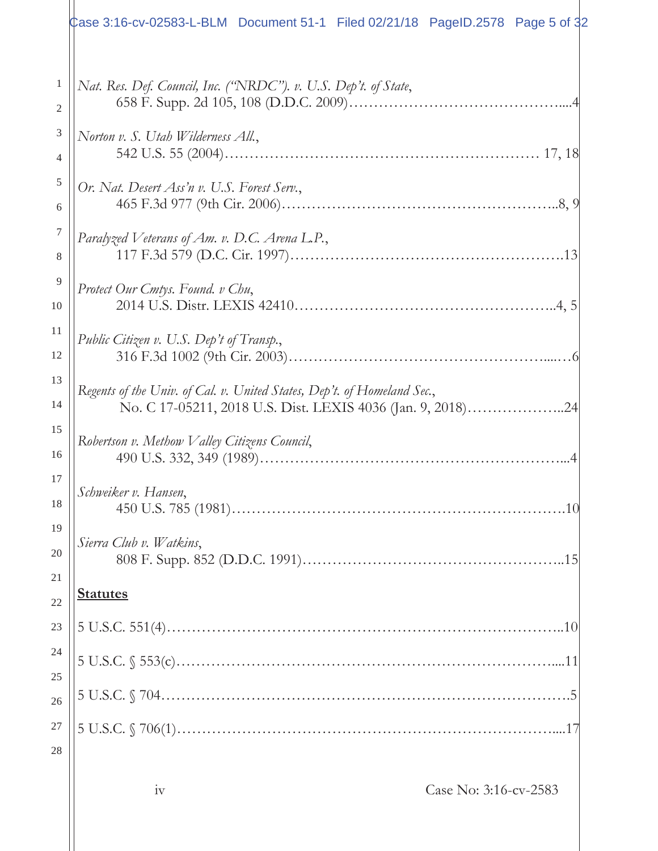|                   | Case 3:16-cv-02583-L-BLM Document 51-1 Filed 02/21/18 PageID.2578 Page 5 of 32                                                         |
|-------------------|----------------------------------------------------------------------------------------------------------------------------------------|
|                   |                                                                                                                                        |
| $\mathbf{1}$<br>2 | Nat. Res. Def. Council, Inc. ('NRDC''). v. U.S. Dep't. of State,                                                                       |
| 3                 | Norton v. S. Utah Wilderness All.,                                                                                                     |
| 4                 |                                                                                                                                        |
| $\sqrt{5}$        | Or. Nat. Desert Ass'n v. U.S. Forest Serv.,                                                                                            |
| 6<br>7            |                                                                                                                                        |
| 8                 | Paralyzed Veterans of Am. v. D.C. Arena L.P.,                                                                                          |
| 9                 | Protect Our Cmtys. Found. v Chu,                                                                                                       |
| 10                |                                                                                                                                        |
| 11<br>12          | Public Citizen v. U.S. Dep't of Transp.,                                                                                               |
| 13                |                                                                                                                                        |
| 14                | Regents of the Univ. of Cal. v. United States, Dep't. of Homeland Sec.,<br>No. C 17-05211, 2018 U.S. Dist. LEXIS 4036 (Jan. 9, 2018)24 |
| 15<br>16          | Robertson v. Methow Valley Citizens Council,                                                                                           |
| 17                |                                                                                                                                        |
| 18                | Schweiker v. Hansen,                                                                                                                   |
| 19<br>20          | Sierra Club v. Watkins,                                                                                                                |
| 21<br>22          | <b>Statutes</b>                                                                                                                        |
| 23                |                                                                                                                                        |
| 24                |                                                                                                                                        |
| 25                |                                                                                                                                        |
| 26<br>27          |                                                                                                                                        |
| 28                |                                                                                                                                        |
|                   |                                                                                                                                        |
|                   | iv<br>Case No: 3:16-cv-2583                                                                                                            |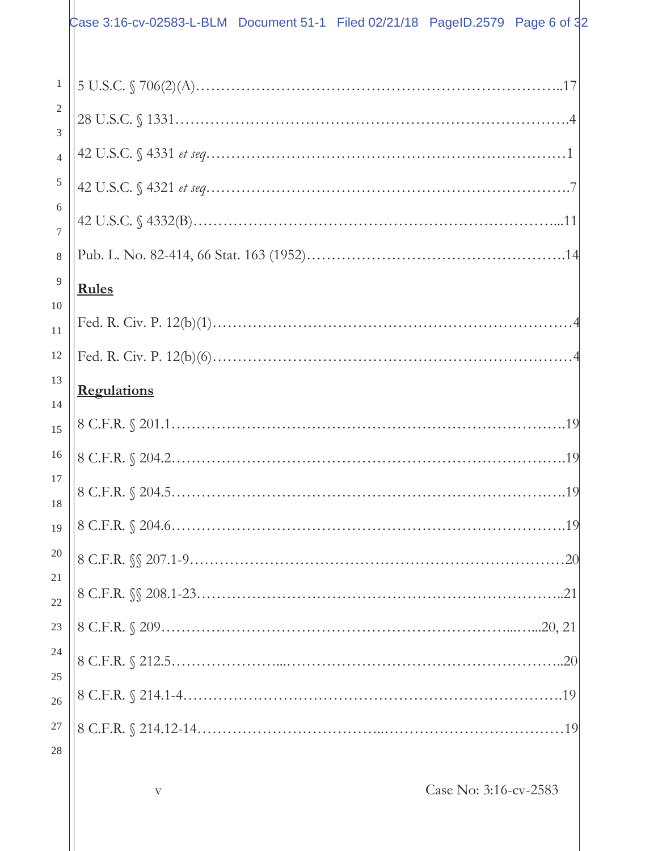# $\phi$ ase 3:16-cv-02583-L-BLM Document 51-1 Filed 02/21/18 PageID.2579 Page 6 of 32

| $\mathbf{1}$        | $5 \text{ U.S.C. }$ $\sqrt{706(2)(A) \dots 17}$ |
|---------------------|-------------------------------------------------|
| $\mathfrak{2}$      |                                                 |
| 3<br>$\overline{4}$ |                                                 |
| $\mathfrak s$       |                                                 |
| 6                   |                                                 |
| 7                   |                                                 |
| 8                   |                                                 |
| 9                   | <b>Rules</b>                                    |
| 10                  |                                                 |
| 11                  |                                                 |
| 12                  |                                                 |
| 13                  | <b>Regulations</b>                              |
| 14<br>15            |                                                 |
| 16                  |                                                 |
| 17                  |                                                 |
| 18                  |                                                 |
| 19                  | .19                                             |
| 20                  |                                                 |
| 21                  |                                                 |
| 22                  |                                                 |
| 23                  |                                                 |
| 24                  | .20                                             |
| 25<br>26            |                                                 |
| 27                  |                                                 |
| 28                  |                                                 |
|                     |                                                 |
|                     | Case No: 3:16-cv-2583<br>V                      |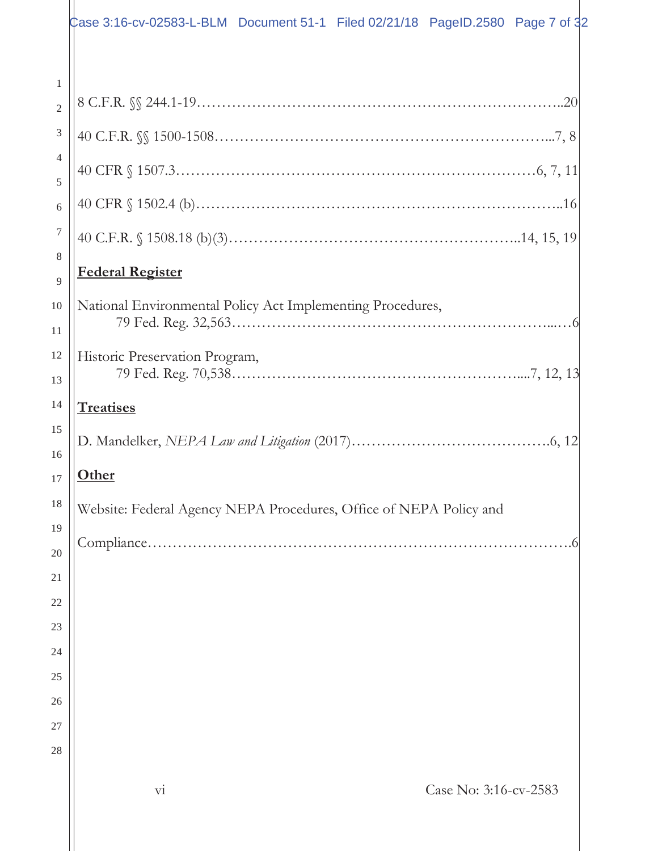| Case 3:16-cv-02583-L-BLM Document 51-1 Filed 02/21/18 PageID.2580 Page 7 of 32 |  |  |  |
|--------------------------------------------------------------------------------|--|--|--|
|                                                                                |  |  |  |

Ш

| $\mathbf{1}$   |                                                                    |
|----------------|--------------------------------------------------------------------|
| $\overline{2}$ |                                                                    |
| 3              |                                                                    |
| 4              |                                                                    |
| 5              |                                                                    |
| 6              |                                                                    |
| $\overline{7}$ |                                                                    |
| 8              | <b>Federal Register</b>                                            |
| 9              |                                                                    |
| 10             | National Environmental Policy Act Implementing Procedures,         |
| 11             |                                                                    |
| 12             | Historic Preservation Program,                                     |
| 13             |                                                                    |
| 14             | <b>Treatises</b>                                                   |
| 15             |                                                                    |
| 16             |                                                                    |
| 17             | <b>Other</b>                                                       |
| 18             | Website: Federal Agency NEPA Procedures, Office of NEPA Policy and |
| 19             |                                                                    |
| 20             |                                                                    |
| 21             |                                                                    |
| 22             |                                                                    |
| 23             |                                                                    |
| 24             |                                                                    |
| 25             |                                                                    |
| 26             |                                                                    |
| 27             |                                                                    |
| 28             |                                                                    |
|                |                                                                    |
|                | $\overline{\mathrm{vi}}$<br>Case No: 3:16-cv-2583                  |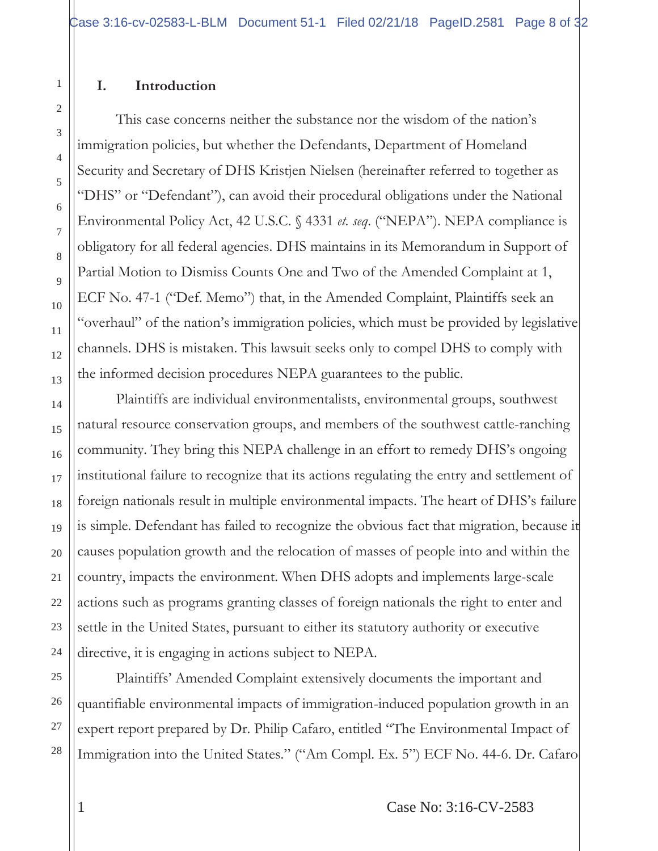#### **I. Introduction**

This case concerns neither the substance nor the wisdom of the nation's immigration policies, but whether the Defendants, Department of Homeland Security and Secretary of DHS Kristjen Nielsen (hereinafter referred to together as "DHS" or "Defendant"), can avoid their procedural obligations under the National Environmental Policy Act, 42 U.S.C. § 4331 *et. seq*. ("NEPA"). NEPA compliance is obligatory for all federal agencies. DHS maintains in its Memorandum in Support of Partial Motion to Dismiss Counts One and Two of the Amended Complaint at 1, ECF No. 47-1 ("Def. Memo") that, in the Amended Complaint, Plaintiffs seek an "overhaul" of the nation's immigration policies, which must be provided by legislative channels. DHS is mistaken. This lawsuit seeks only to compel DHS to comply with the informed decision procedures NEPA guarantees to the public.

Plaintiffs are individual environmentalists, environmental groups, southwest natural resource conservation groups, and members of the southwest cattle-ranching community. They bring this NEPA challenge in an effort to remedy DHS's ongoing institutional failure to recognize that its actions regulating the entry and settlement of foreign nationals result in multiple environmental impacts. The heart of DHS's failure is simple. Defendant has failed to recognize the obvious fact that migration, because it causes population growth and the relocation of masses of people into and within the country, impacts the environment. When DHS adopts and implements large-scale actions such as programs granting classes of foreign nationals the right to enter and settle in the United States, pursuant to either its statutory authority or executive directive, it is engaging in actions subject to NEPA.

Plaintiffs' Amended Complaint extensively documents the important and quantifiable environmental impacts of immigration-induced population growth in an expert report prepared by Dr. Philip Cafaro, entitled "The Environmental Impact of Immigration into the United States." ("Am Compl. Ex. 5") ECF No. 44-6. Dr. Cafaro

1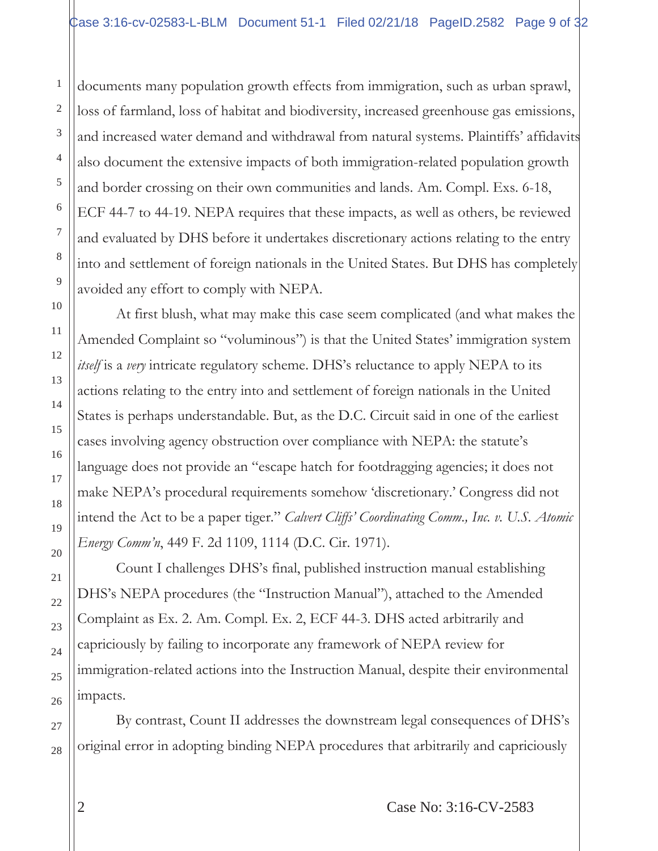documents many population growth effects from immigration, such as urban sprawl, loss of farmland, loss of habitat and biodiversity, increased greenhouse gas emissions, and increased water demand and withdrawal from natural systems. Plaintiffs' affidavits also document the extensive impacts of both immigration-related population growth and border crossing on their own communities and lands. Am. Compl. Exs. 6-18, ECF 44-7 to 44-19. NEPA requires that these impacts, as well as others, be reviewed and evaluated by DHS before it undertakes discretionary actions relating to the entry into and settlement of foreign nationals in the United States. But DHS has completely avoided any effort to comply with NEPA.

At first blush, what may make this case seem complicated (and what makes the Amended Complaint so "voluminous") is that the United States' immigration system *itself* is a *very* intricate regulatory scheme. DHS's reluctance to apply NEPA to its actions relating to the entry into and settlement of foreign nationals in the United States is perhaps understandable. But, as the D.C. Circuit said in one of the earliest cases involving agency obstruction over compliance with NEPA: the statute's language does not provide an "escape hatch for footdragging agencies; it does not make NEPA's procedural requirements somehow 'discretionary.' Congress did not intend the Act to be a paper tiger." *Calvert Cliffs' Coordinating Comm., Inc. v. U.S. Atomic Energy Comm'n*, 449 F. 2d 1109, 1114 (D.C. Cir. 1971).

Count I challenges DHS's final, published instruction manual establishing DHS's NEPA procedures (the "Instruction Manual"), attached to the Amended Complaint as Ex. 2. Am. Compl. Ex. 2, ECF 44-3. DHS acted arbitrarily and capriciously by failing to incorporate any framework of NEPA review for immigration-related actions into the Instruction Manual, despite their environmental impacts.

By contrast, Count II addresses the downstream legal consequences of DHS's original error in adopting binding NEPA procedures that arbitrarily and capriciously

1

2

3

4

5

6

7

8

9

10

11

12

13

14

15

16

17

18

19

20

21

22

23

24

25

26

27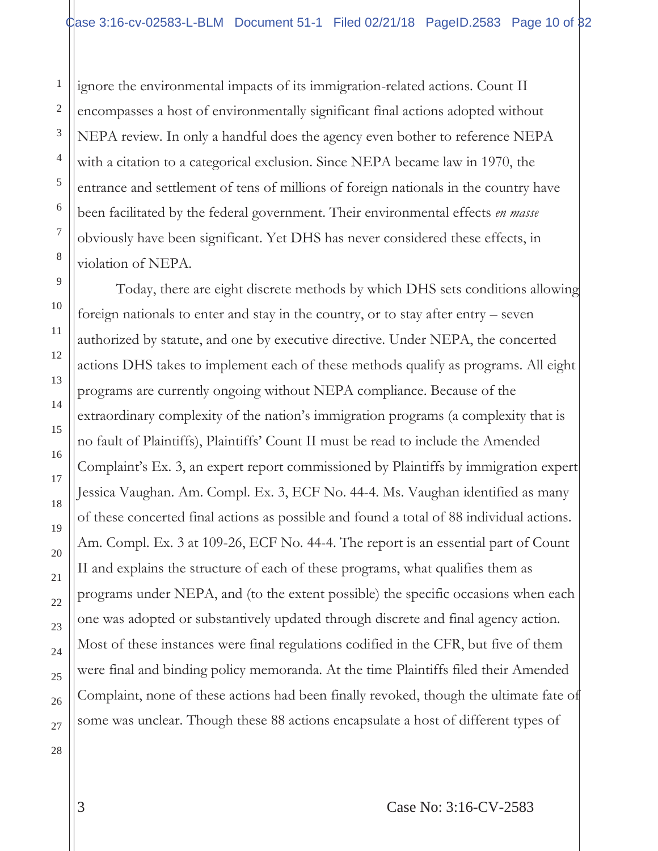ignore the environmental impacts of its immigration-related actions. Count II encompasses a host of environmentally significant final actions adopted without NEPA review. In only a handful does the agency even bother to reference NEPA with a citation to a categorical exclusion. Since NEPA became law in 1970, the entrance and settlement of tens of millions of foreign nationals in the country have been facilitated by the federal government. Their environmental effects *en masse* obviously have been significant. Yet DHS has never considered these effects, in violation of NEPA.

Today, there are eight discrete methods by which DHS sets conditions allowing foreign nationals to enter and stay in the country, or to stay after entry – seven authorized by statute, and one by executive directive. Under NEPA, the concerted actions DHS takes to implement each of these methods qualify as programs. All eight programs are currently ongoing without NEPA compliance. Because of the extraordinary complexity of the nation's immigration programs (a complexity that is no fault of Plaintiffs), Plaintiffs' Count II must be read to include the Amended Complaint's Ex. 3, an expert report commissioned by Plaintiffs by immigration expert Jessica Vaughan. Am. Compl. Ex. 3, ECF No. 44-4. Ms. Vaughan identified as many of these concerted final actions as possible and found a total of 88 individual actions. Am. Compl. Ex. 3 at 109-26, ECF No. 44-4. The report is an essential part of Count II and explains the structure of each of these programs, what qualifies them as programs under NEPA, and (to the extent possible) the specific occasions when each one was adopted or substantively updated through discrete and final agency action. Most of these instances were final regulations codified in the CFR, but five of them were final and binding policy memoranda. At the time Plaintiffs filed their Amended Complaint, none of these actions had been finally revoked, though the ultimate fate of some was unclear. Though these 88 actions encapsulate a host of different types of

1

2

3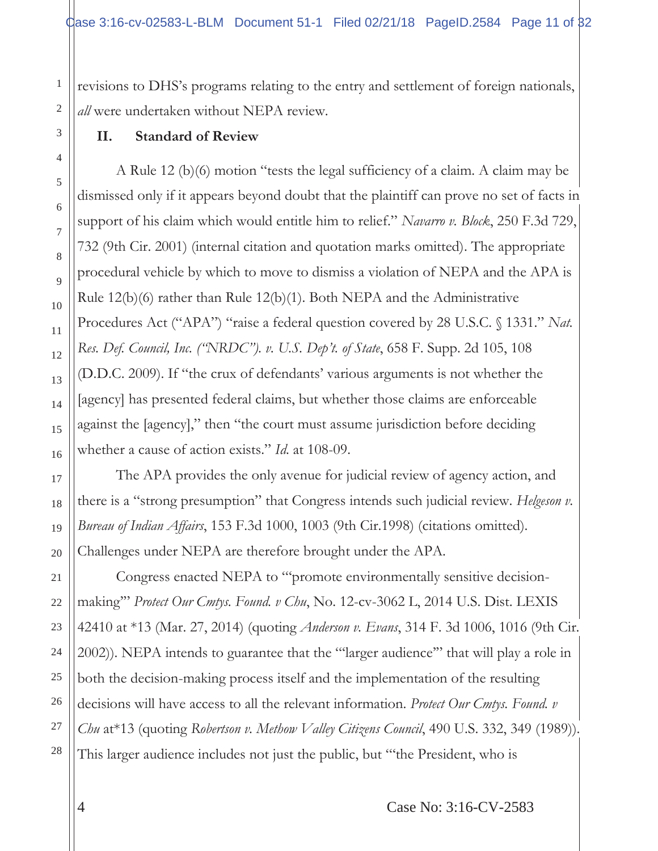revisions to DHS's programs relating to the entry and settlement of foreign nationals, *all* were undertaken without NEPA review.

# **II. Standard of Review**

A Rule 12 (b)(6) motion "tests the legal sufficiency of a claim. A claim may be dismissed only if it appears beyond doubt that the plaintiff can prove no set of facts in support of his claim which would entitle him to relief." *Navarro v. Block*, 250 F.3d 729, 732 (9th Cir. 2001) (internal citation and quotation marks omitted). The appropriate procedural vehicle by which to move to dismiss a violation of NEPA and the APA is Rule 12(b)(6) rather than Rule 12(b)(1). Both NEPA and the Administrative Procedures Act ("APA") "raise a federal question covered by 28 U.S.C. § 1331." *Nat. Res. Def. Council, Inc. ("NRDC"). v. U.S. Dep't. of State*, 658 F. Supp. 2d 105, 108 (D.D.C. 2009). If "the crux of defendants' various arguments is not whether the [agency] has presented federal claims, but whether those claims are enforceable against the [agency]," then "the court must assume jurisdiction before deciding whether a cause of action exists." *Id*. at 108-09.

The APA provides the only avenue for judicial review of agency action, and there is a "strong presumption" that Congress intends such judicial review. *Helgeson v. Bureau of Indian Affairs*, 153 F.3d 1000, 1003 (9th Cir.1998) (citations omitted). Challenges under NEPA are therefore brought under the APA.

Congress enacted NEPA to "'promote environmentally sensitive decisionmaking'" *Protect Our Cmtys. Found. v Chu*, No. 12-cv-3062 L, 2014 U.S. Dist. LEXIS 42410 at \*13 (Mar. 27, 2014) (quoting *Anderson v. Evans*, 314 F. 3d 1006, 1016 (9th Cir. 2002)). NEPA intends to guarantee that the "'larger audience'" that will play a role in both the decision-making process itself and the implementation of the resulting decisions will have access to all the relevant information. *Protect Our Cmtys. Found. v Chu* at\*13 (quoting *Robertson v. Methow Valley Citizens Council*, 490 U.S. 332, 349 (1989)). This larger audience includes not just the public, but "'the President, who is

1

4 Case No: 3:16-CV-2583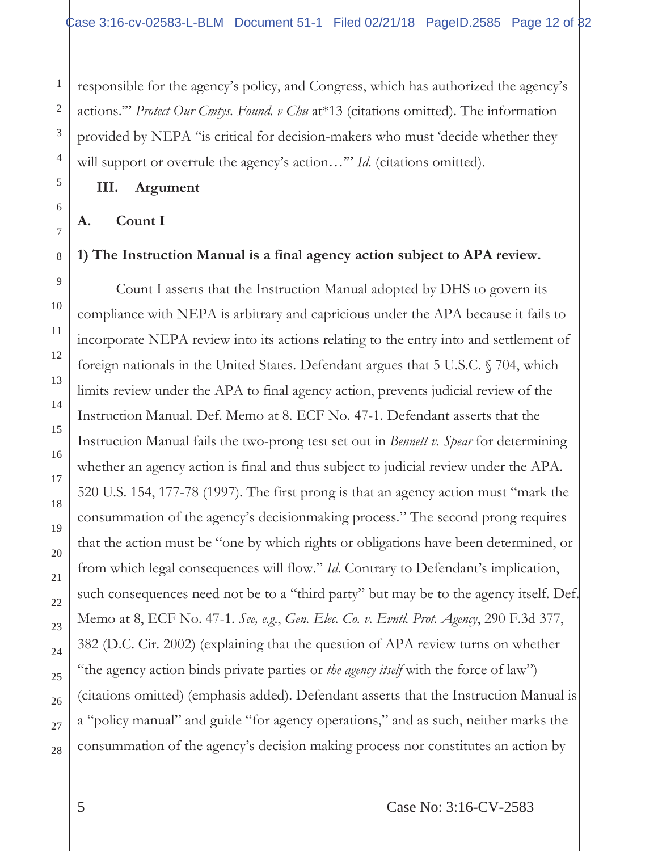responsible for the agency's policy, and Congress, which has authorized the agency's actions.'" *Protect Our Cmtys. Found. v Chu* at\*13 (citations omitted). The information provided by NEPA "is critical for decision-makers who must 'decide whether they will support or overrule the agency's action..."" *Id.* (citations omitted).

#### **III. Argument**

# **A. Count I**

#### **1) The Instruction Manual is a final agency action subject to APA review.**

Count I asserts that the Instruction Manual adopted by DHS to govern its compliance with NEPA is arbitrary and capricious under the APA because it fails to incorporate NEPA review into its actions relating to the entry into and settlement of foreign nationals in the United States. Defendant argues that 5 U.S.C. § 704, which limits review under the APA to final agency action, prevents judicial review of the Instruction Manual. Def. Memo at 8. ECF No. 47-1. Defendant asserts that the Instruction Manual fails the two-prong test set out in *Bennett v. Spear* for determining whether an agency action is final and thus subject to judicial review under the APA. 520 U.S. 154, 177-78 (1997). The first prong is that an agency action must "mark the consummation of the agency's decisionmaking process." The second prong requires that the action must be "one by which rights or obligations have been determined, or from which legal consequences will flow." *Id*. Contrary to Defendant's implication, such consequences need not be to a "third party" but may be to the agency itself. Def. Memo at 8, ECF No. 47-1. *See, e.g*., *Gen. Elec. Co. v. Evntl. Prot. Agency*, 290 F.3d 377, 382 (D.C. Cir. 2002) (explaining that the question of APA review turns on whether "the agency action binds private parties or *the agency itself* with the force of law") (citations omitted) (emphasis added). Defendant asserts that the Instruction Manual is a "policy manual" and guide "for agency operations," and as such, neither marks the consummation of the agency's decision making process nor constitutes an action by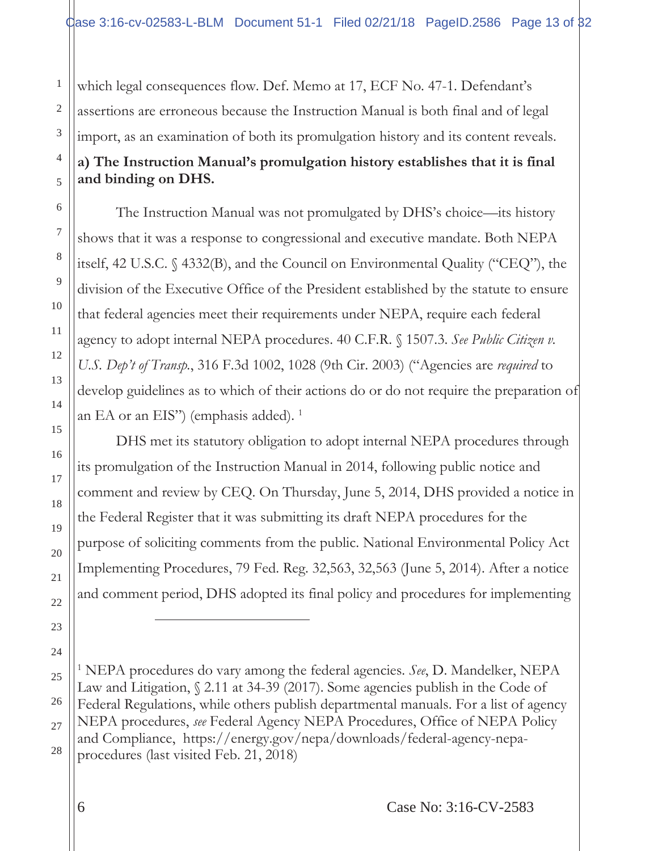which legal consequences flow. Def. Memo at 17, ECF No. 47-1. Defendant's assertions are erroneous because the Instruction Manual is both final and of legal import, as an examination of both its promulgation history and its content reveals. **a) The Instruction Manual's promulgation history establishes that it is final and binding on DHS.**

The Instruction Manual was not promulgated by DHS's choice—its history shows that it was a response to congressional and executive mandate. Both NEPA itself, 42 U.S.C. § 4332(B), and the Council on Environmental Quality ("CEQ"), the division of the Executive Office of the President established by the statute to ensure that federal agencies meet their requirements under NEPA, require each federal agency to adopt internal NEPA procedures. 40 C.F.R. § 1507.3. *See Public Citizen v. U.S. Dep't of Transp.*, 316 F.3d 1002, 1028 (9th Cir. 2003) ("Agencies are *required* to develop guidelines as to which of their actions do or do not require the preparation of an EA or an EIS") (emphasis added).  $<sup>1</sup>$ </sup>

DHS met its statutory obligation to adopt internal NEPA procedures through its promulgation of the Instruction Manual in 2014, following public notice and comment and review by CEQ. On Thursday, June 5, 2014, DHS provided a notice in the Federal Register that it was submitting its draft NEPA procedures for the purpose of soliciting comments from the public. National Environmental Policy Act Implementing Procedures, 79 Fed. Reg. 32,563, 32,563 (June 5, 2014). After a notice and comment period, DHS adopted its final policy and procedures for implementing

 $\overline{a}$ 

<sup>&</sup>lt;sup>1</sup> NEPA procedures do vary among the federal agencies. See, D. Mandelker, NEPA Law and Litigation, § 2.11 at 34-39 (2017). Some agencies publish in the Code of Federal Regulations, while others publish departmental manuals. For a list of agency NEPA procedures, *see* Federal Agency NEPA Procedures, Office of NEPA Policy and Compliance, https://energy.gov/nepa/downloads/federal-agency-nepaprocedures (last visited Feb. 21, 2018)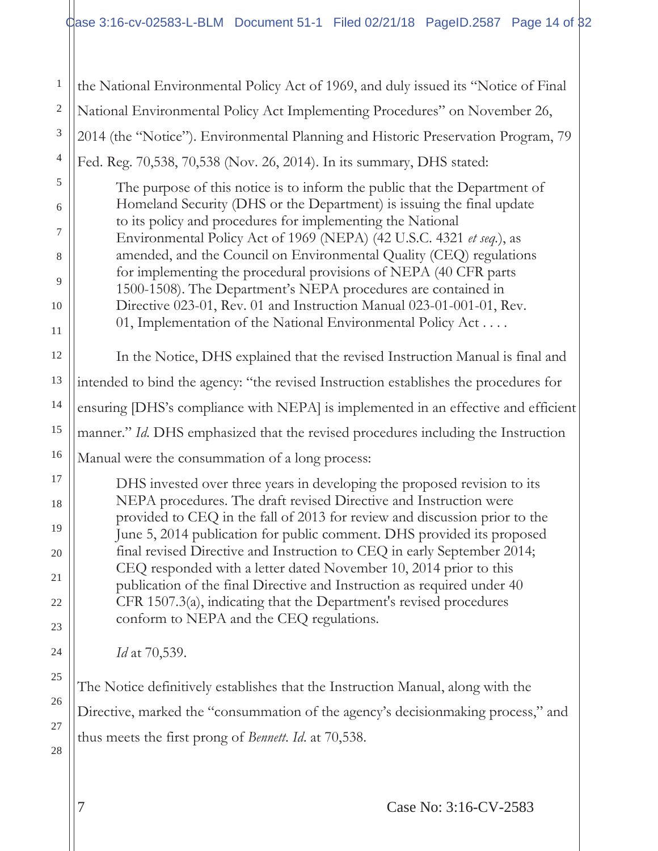1 2 3 4 5 6 7 8 9 10 11 12 13 14 15 16 17 18 19 20 21 22 23 24 25 26 27 the National Environmental Policy Act of 1969, and duly issued its "Notice of Final National Environmental Policy Act Implementing Procedures" on November 26, 2014 (the "Notice"). Environmental Planning and Historic Preservation Program, 79 Fed. Reg. 70,538, 70,538 (Nov. 26, 2014). In its summary, DHS stated: The purpose of this notice is to inform the public that the Department of Homeland Security (DHS or the Department) is issuing the final update to its policy and procedures for implementing the National Environmental Policy Act of 1969 (NEPA) (42 U.S.C. 4321 *et seq.*), as amended, and the Council on Environmental Quality (CEQ) regulations for implementing the procedural provisions of NEPA (40 CFR parts 1500-1508). The Department's NEPA procedures are contained in Directive 023-01, Rev. 01 and Instruction Manual 023-01-001-01, Rev. 01, Implementation of the National Environmental Policy Act . . . . In the Notice, DHS explained that the revised Instruction Manual is final and intended to bind the agency: "the revised Instruction establishes the procedures for ensuring [DHS's compliance with NEPA] is implemented in an effective and efficient manner." *Id*. DHS emphasized that the revised procedures including the Instruction Manual were the consummation of a long process: DHS invested over three years in developing the proposed revision to its NEPA procedures. The draft revised Directive and Instruction were provided to CEQ in the fall of 2013 for review and discussion prior to the June 5, 2014 publication for public comment. DHS provided its proposed final revised Directive and Instruction to CEQ in early September 2014; CEQ responded with a letter dated November 10, 2014 prior to this publication of the final Directive and Instruction as required under 40 CFR 1507.3(a), indicating that the Department's revised procedures conform to NEPA and the CEQ regulations. *Id* at 70,539. The Notice definitively establishes that the Instruction Manual, along with the Directive, marked the "consummation of the agency's decisionmaking process," and thus meets the first prong of *Bennett*. *Id*. at 70,538.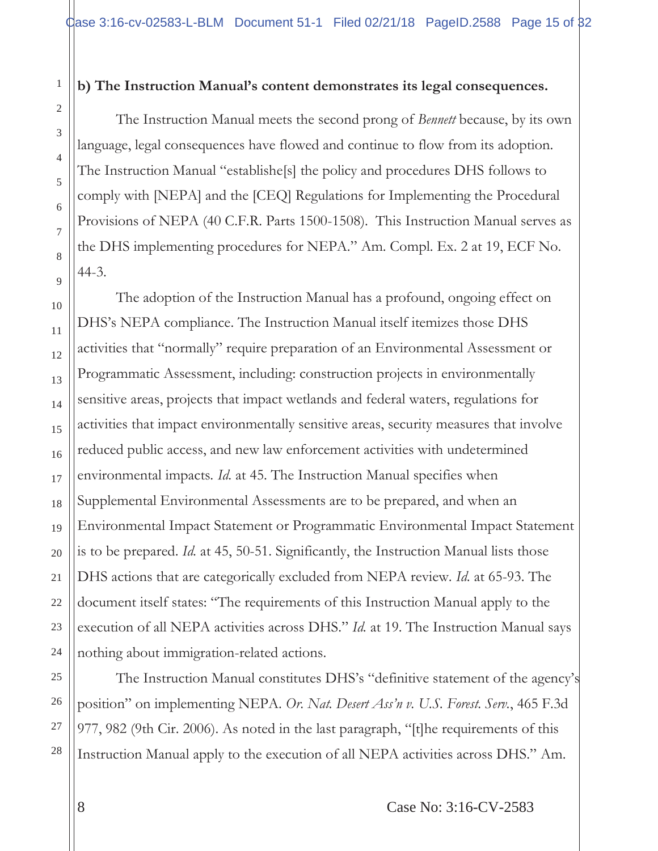#### **b) The Instruction Manual's content demonstrates its legal consequences.**

The Instruction Manual meets the second prong of *Bennett* because, by its own language, legal consequences have flowed and continue to flow from its adoption. The Instruction Manual "establishe[s] the policy and procedures DHS follows to comply with [NEPA] and the [CEQ] Regulations for Implementing the Procedural Provisions of NEPA (40 C.F.R. Parts 1500-1508). This Instruction Manual serves as the DHS implementing procedures for NEPA." Am. Compl. Ex. 2 at 19, ECF No. 44-3.

The adoption of the Instruction Manual has a profound, ongoing effect on DHS's NEPA compliance. The Instruction Manual itself itemizes those DHS activities that "normally" require preparation of an Environmental Assessment or Programmatic Assessment, including: construction projects in environmentally sensitive areas, projects that impact wetlands and federal waters, regulations for activities that impact environmentally sensitive areas, security measures that involve reduced public access, and new law enforcement activities with undetermined environmental impacts*. Id.* at 45. The Instruction Manual specifies when Supplemental Environmental Assessments are to be prepared, and when an Environmental Impact Statement or Programmatic Environmental Impact Statement is to be prepared. *Id.* at 45, 50-51. Significantly, the Instruction Manual lists those DHS actions that are categorically excluded from NEPA review*. Id.* at 65-93. The document itself states: "The requirements of this Instruction Manual apply to the execution of all NEPA activities across DHS." *Id.* at 19. The Instruction Manual says nothing about immigration-related actions.

The Instruction Manual constitutes DHS's "definitive statement of the agency's position" on implementing NEPA. *Or. Nat. Desert Ass'n v. U.S. Forest*. *Serv.*, 465 F.3d 977, 982 (9th Cir. 2006). As noted in the last paragraph, "[t]he requirements of this Instruction Manual apply to the execution of all NEPA activities across DHS." Am.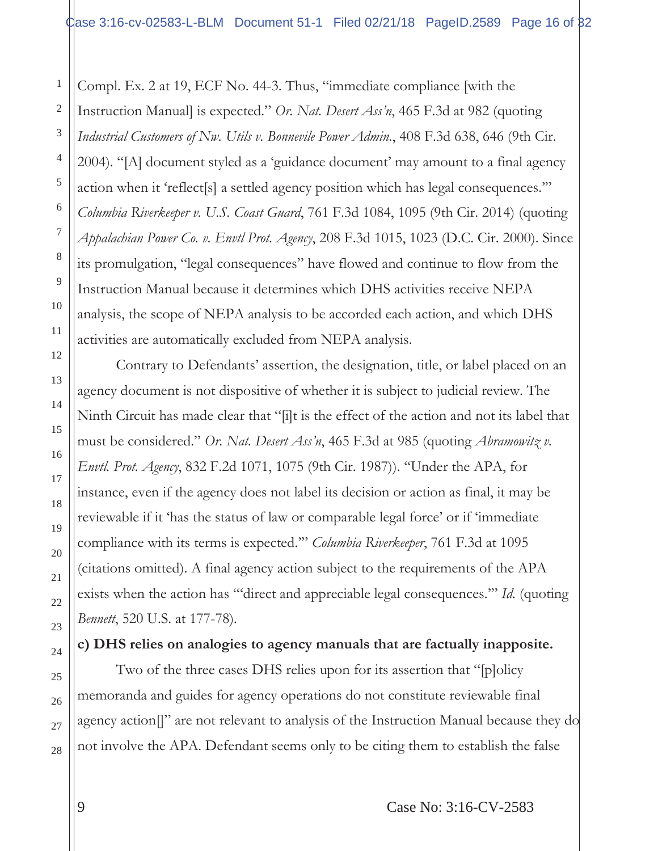Compl. Ex. 2 at 19, ECF No. 44-3. Thus, "immediate compliance [with the Instruction Manual] is expected." *Or. Nat. Desert Ass'n*, 465 F.3d at 982 (quoting *Industrial Customers of Nw. Utils v. Bonnevile Power Admin.*, 408 F.3d 638, 646 (9th Cir. 2004). "[A] document styled as a 'guidance document' may amount to a final agency action when it 'reflect[s] a settled agency position which has legal consequences.'" *Columbia Riverkeeper v. U.S. Coast Guard*, 761 F.3d 1084, 1095 (9th Cir. 2014) (quoting *Appalachian Power Co. v. Envtl Prot. Agency*, 208 F.3d 1015, 1023 (D.C. Cir. 2000). Since its promulgation, "legal consequences" have flowed and continue to flow from the Instruction Manual because it determines which DHS activities receive NEPA analysis, the scope of NEPA analysis to be accorded each action, and which DHS activities are automatically excluded from NEPA analysis.

Contrary to Defendants' assertion, the designation, title, or label placed on an agency document is not dispositive of whether it is subject to judicial review. The Ninth Circuit has made clear that "[i]t is the effect of the action and not its label that must be considered." *Or. Nat. Desert Ass'n*, 465 F.3d at 985 (quoting *Abramowitz v. Envtl. Prot. Agency*, 832 F.2d 1071, 1075 (9th Cir. 1987)). "Under the APA, for instance, even if the agency does not label its decision or action as final, it may be reviewable if it 'has the status of law or comparable legal force' or if 'immediate compliance with its terms is expected.'" *Columbia Riverkeeper*, 761 F.3d at 1095 (citations omitted). A final agency action subject to the requirements of the APA exists when the action has "'direct and appreciable legal consequences.'" *Id.* (quoting *Bennett*, 520 U.S. at 177-78).

#### **c) DHS relies on analogies to agency manuals that are factually inapposite.**

Two of the three cases DHS relies upon for its assertion that "[p]olicy memoranda and guides for agency operations do not constitute reviewable final agency action[]" are not relevant to analysis of the Instruction Manual because they do not involve the APA. Defendant seems only to be citing them to establish the false

1

2

3

4

5

6

7

8

9

10

11

12

13

14

15

16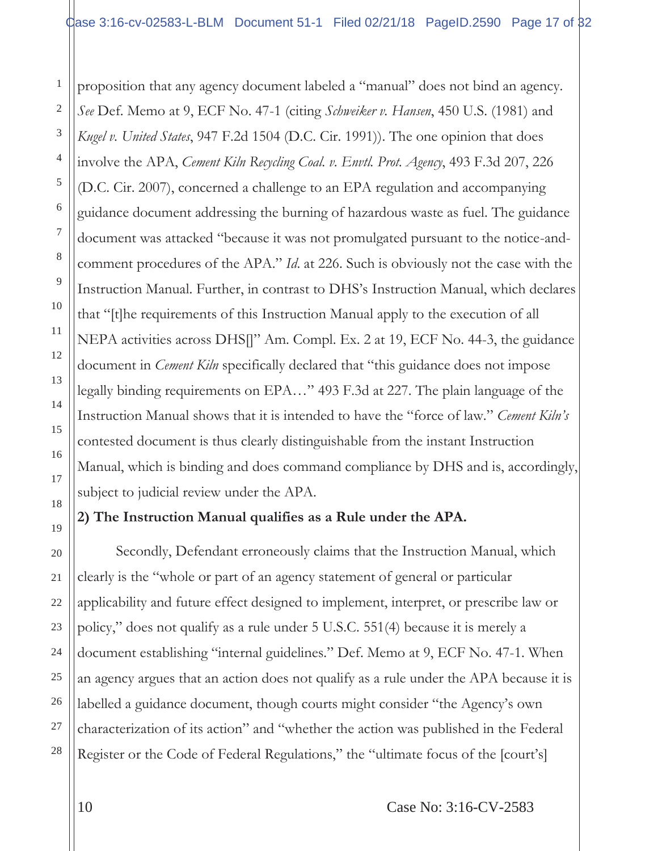proposition that any agency document labeled a "manual" does not bind an agency. *See* Def. Memo at 9, ECF No. 47-1 (citing *Schweiker v. Hansen*, 450 U.S. (1981) and *Kugel v. United States*, 947 F.2d 1504 (D.C. Cir. 1991)). The one opinion that does involve the APA, *Cement Kiln Recycling Coal. v. Envtl. Prot. Agency*, 493 F.3d 207, 226 (D.C. Cir. 2007), concerned a challenge to an EPA regulation and accompanying guidance document addressing the burning of hazardous waste as fuel. The guidance document was attacked "because it was not promulgated pursuant to the notice-andcomment procedures of the APA." *Id*. at 226. Such is obviously not the case with the Instruction Manual. Further, in contrast to DHS's Instruction Manual, which declares that "[t]he requirements of this Instruction Manual apply to the execution of all NEPA activities across DHS[]" Am. Compl. Ex. 2 at 19, ECF No. 44-3, the guidance document in *Cement Kiln* specifically declared that "this guidance does not impose legally binding requirements on EPA…" 493 F.3d at 227. The plain language of the Instruction Manual shows that it is intended to have the "force of law." *Cement Kiln's* contested document is thus clearly distinguishable from the instant Instruction Manual, which is binding and does command compliance by DHS and is, accordingly, subject to judicial review under the APA.

#### **2) The Instruction Manual qualifies as a Rule under the APA.**

Secondly, Defendant erroneously claims that the Instruction Manual, which clearly is the "whole or part of an agency statement of general or particular applicability and future effect designed to implement, interpret, or prescribe law or policy," does not qualify as a rule under 5 U.S.C. 551(4) because it is merely a document establishing "internal guidelines." Def. Memo at 9, ECF No. 47-1. When an agency argues that an action does not qualify as a rule under the APA because it is labelled a guidance document, though courts might consider "the Agency's own characterization of its action" and "whether the action was published in the Federal Register or the Code of Federal Regulations," the "ultimate focus of the [court's]

1

2

3

4

5

6

7

8

9

10

11

12

13

14

15

16

17

18

19

20

21

22

23

24

25

26

27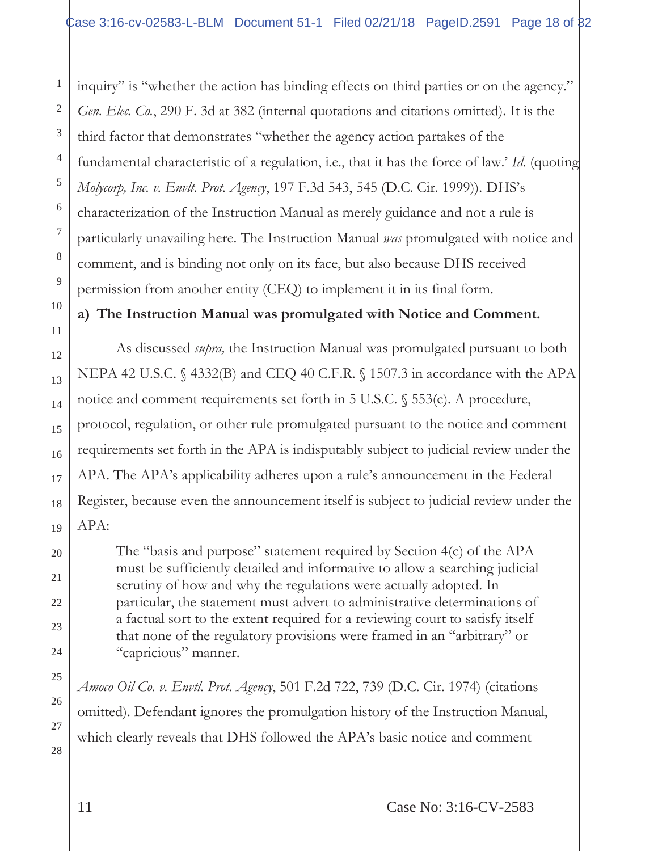inquiry" is "whether the action has binding effects on third parties or on the agency." *Gen. Elec. Co.*, 290 F. 3d at 382 (internal quotations and citations omitted). It is the third factor that demonstrates "whether the agency action partakes of the fundamental characteristic of a regulation, i.e., that it has the force of law.' *Id*. (quoting *Molycorp, Inc. v. Envlt. Prot. Agency*, 197 F.3d 543, 545 (D.C. Cir. 1999)). DHS's characterization of the Instruction Manual as merely guidance and not a rule is particularly unavailing here. The Instruction Manual *was* promulgated with notice and comment, and is binding not only on its face, but also because DHS received permission from another entity (CEQ) to implement it in its final form.

**a) The Instruction Manual was promulgated with Notice and Comment.** 

As discussed *supra,* the Instruction Manual was promulgated pursuant to both NEPA 42 U.S.C. § 4332(B) and CEQ 40 C.F.R. § 1507.3 in accordance with the APA notice and comment requirements set forth in 5 U.S.C. § 553(c). A procedure, protocol, regulation, or other rule promulgated pursuant to the notice and comment requirements set forth in the APA is indisputably subject to judicial review under the APA. The APA's applicability adheres upon a rule's announcement in the Federal Register, because even the announcement itself is subject to judicial review under the APA:

The "basis and purpose" statement required by Section 4(c) of the APA must be sufficiently detailed and informative to allow a searching judicial scrutiny of how and why the regulations were actually adopted. In particular, the statement must advert to administrative determinations of a factual sort to the extent required for a reviewing court to satisfy itself that none of the regulatory provisions were framed in an "arbitrary" or "capricious" manner.

*Amoco Oil Co. v. Envtl. Prot. Agency*, 501 F.2d 722, 739 (D.C. Cir. 1974) (citations omitted). Defendant ignores the promulgation history of the Instruction Manual, which clearly reveals that DHS followed the APA's basic notice and comment

1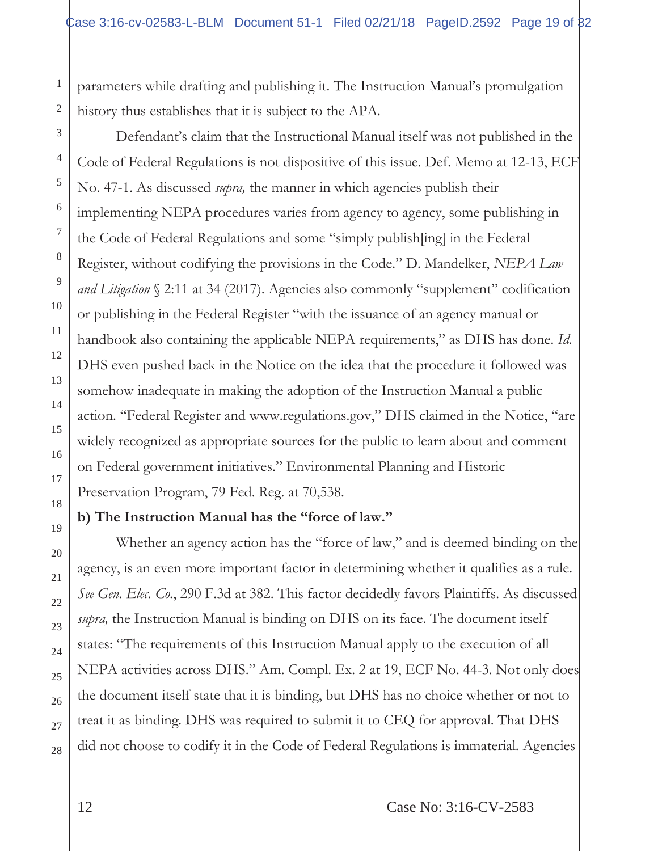parameters while drafting and publishing it. The Instruction Manual's promulgation history thus establishes that it is subject to the APA.

Defendant's claim that the Instructional Manual itself was not published in the Code of Federal Regulations is not dispositive of this issue. Def. Memo at 12-13, ECF No. 47-1. As discussed *supra,* the manner in which agencies publish their implementing NEPA procedures varies from agency to agency, some publishing in the Code of Federal Regulations and some "simply publish[ing] in the Federal Register, without codifying the provisions in the Code." D. Mandelker, *NEPA Law and Litigation* § 2:11 at 34 (2017). Agencies also commonly "supplement" codification or publishing in the Federal Register "with the issuance of an agency manual or handbook also containing the applicable NEPA requirements," as DHS has done. *Id*. DHS even pushed back in the Notice on the idea that the procedure it followed was somehow inadequate in making the adoption of the Instruction Manual a public action. "Federal Register and www.regulations.gov," DHS claimed in the Notice, "are widely recognized as appropriate sources for the public to learn about and comment on Federal government initiatives." Environmental Planning and Historic Preservation Program, 79 Fed. Reg. at 70,538.

# **b) The Instruction Manual has the "force of law."**

Whether an agency action has the "force of law," and is deemed binding on the agency, is an even more important factor in determining whether it qualifies as a rule. *See Gen. Elec. Co.*, 290 F.3d at 382. This factor decidedly favors Plaintiffs. As discussed *supra,* the Instruction Manual is binding on DHS on its face. The document itself states: "The requirements of this Instruction Manual apply to the execution of all NEPA activities across DHS." Am. Compl. Ex. 2 at 19, ECF No. 44-3. Not only does the document itself state that it is binding, but DHS has no choice whether or not to treat it as binding. DHS was required to submit it to CEQ for approval. That DHS did not choose to codify it in the Code of Federal Regulations is immaterial. Agencies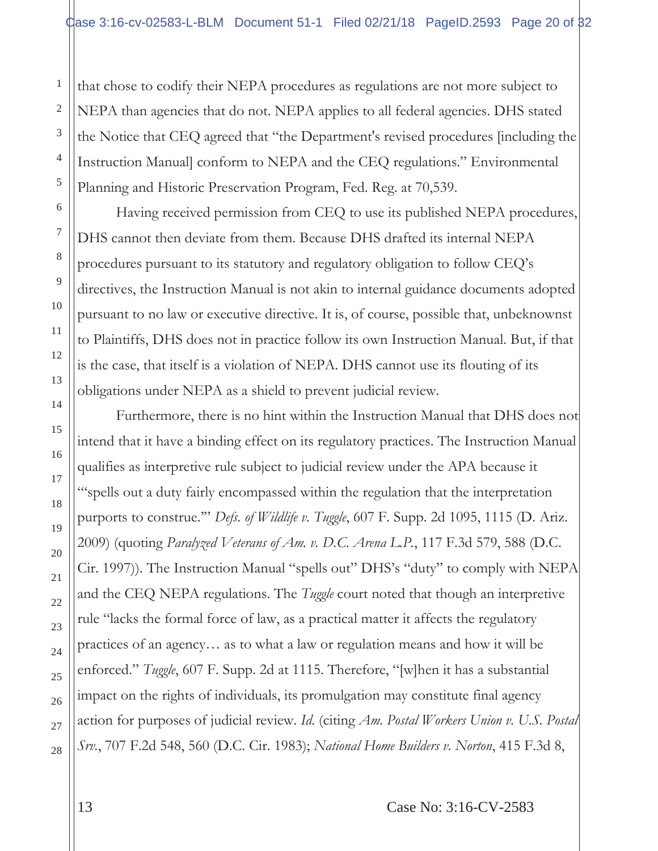that chose to codify their NEPA procedures as regulations are not more subject to NEPA than agencies that do not. NEPA applies to all federal agencies. DHS stated the Notice that CEQ agreed that "the Department's revised procedures [including the Instruction Manual] conform to NEPA and the CEQ regulations." Environmental Planning and Historic Preservation Program, Fed. Reg. at 70,539.

Having received permission from CEQ to use its published NEPA procedures, DHS cannot then deviate from them. Because DHS drafted its internal NEPA procedures pursuant to its statutory and regulatory obligation to follow CEQ's directives, the Instruction Manual is not akin to internal guidance documents adopted pursuant to no law or executive directive. It is, of course, possible that, unbeknownst to Plaintiffs, DHS does not in practice follow its own Instruction Manual. But, if that is the case, that itself is a violation of NEPA. DHS cannot use its flouting of its obligations under NEPA as a shield to prevent judicial review.

 Furthermore, there is no hint within the Instruction Manual that DHS does not intend that it have a binding effect on its regulatory practices. The Instruction Manual qualifies as interpretive rule subject to judicial review under the APA because it "'spells out a duty fairly encompassed within the regulation that the interpretation purports to construe.'" *Defs. of Wildlife v. Tuggle*, 607 F. Supp. 2d 1095, 1115 (D. Ariz. 2009) (quoting *Paralyzed Veterans of Am. v. D.C. Arena L.P.*, 117 F.3d 579, 588 (D.C. Cir. 1997)). The Instruction Manual "spells out" DHS's "duty" to comply with NEPA and the CEQ NEPA regulations. The *Tuggle* court noted that though an interpretive rule "lacks the formal force of law, as a practical matter it affects the regulatory practices of an agency… as to what a law or regulation means and how it will be enforced." *Tuggle*, 607 F. Supp. 2d at 1115. Therefore, "[w]hen it has a substantial impact on the rights of individuals, its promulgation may constitute final agency action for purposes of judicial review. *Id*. (citing *Am. Postal Workers Union v. U.S. Postal Srv.*, 707 F.2d 548, 560 (D.C. Cir. 1983); *National Home Builders v. Norton*, 415 F.3d 8,

1

2

3

4

5

6

7

8

9

10

11

12

13

14

15

16

17

18

19

20

21

22

23

24

25

26

27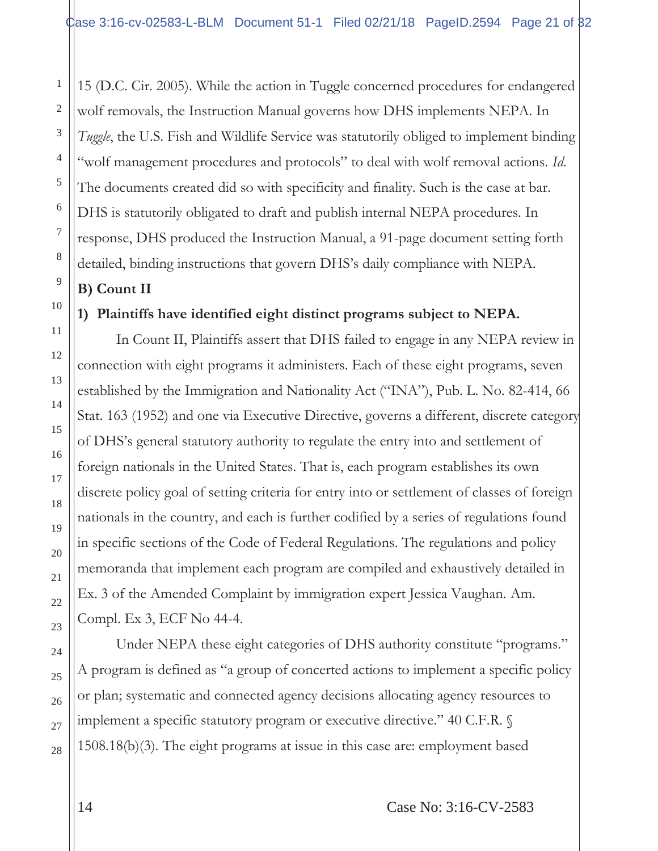15 (D.C. Cir. 2005). While the action in Tuggle concerned procedures for endangered wolf removals, the Instruction Manual governs how DHS implements NEPA. In *Tuggle*, the U.S. Fish and Wildlife Service was statutorily obliged to implement binding "wolf management procedures and protocols" to deal with wolf removal actions. *Id*. The documents created did so with specificity and finality. Such is the case at bar. DHS is statutorily obligated to draft and publish internal NEPA procedures. In response, DHS produced the Instruction Manual, a 91-page document setting forth detailed, binding instructions that govern DHS's daily compliance with NEPA.

# **B) Count II**

# **1) Plaintiffs have identified eight distinct programs subject to NEPA.**

In Count II, Plaintiffs assert that DHS failed to engage in any NEPA review in connection with eight programs it administers. Each of these eight programs, seven established by the Immigration and Nationality Act ("INA"), Pub. L. No. 82-414, 66 Stat. 163 (1952) and one via Executive Directive, governs a different, discrete category of DHS's general statutory authority to regulate the entry into and settlement of foreign nationals in the United States. That is, each program establishes its own discrete policy goal of setting criteria for entry into or settlement of classes of foreign nationals in the country, and each is further codified by a series of regulations found in specific sections of the Code of Federal Regulations. The regulations and policy memoranda that implement each program are compiled and exhaustively detailed in Ex. 3 of the Amended Complaint by immigration expert Jessica Vaughan. Am. Compl. Ex 3, ECF No 44-4.

Under NEPA these eight categories of DHS authority constitute "programs." A program is defined as "a group of concerted actions to implement a specific policy or plan; systematic and connected agency decisions allocating agency resources to implement a specific statutory program or executive directive." 40 C.F.R. § 1508.18(b)(3). The eight programs at issue in this case are: employment based

1

2

3

4

5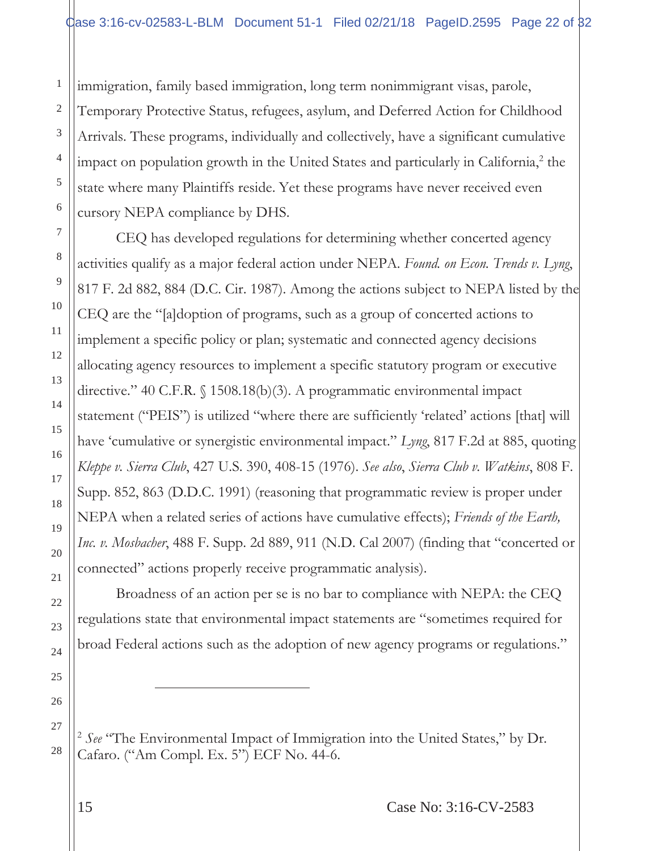immigration, family based immigration, long term nonimmigrant visas, parole, Temporary Protective Status, refugees, asylum, and Deferred Action for Childhood Arrivals. These programs, individually and collectively, have a significant cumulative impact on population growth in the United States and particularly in California,<sup>2</sup> the state where many Plaintiffs reside. Yet these programs have never received even cursory NEPA compliance by DHS.

CEQ has developed regulations for determining whether concerted agency activities qualify as a major federal action under NEPA. *Found. on Econ. Trends v. Lyng*, 817 F. 2d 882, 884 (D.C. Cir. 1987). Among the actions subject to NEPA listed by the CEQ are the "[a]doption of programs, such as a group of concerted actions to implement a specific policy or plan; systematic and connected agency decisions allocating agency resources to implement a specific statutory program or executive directive." 40 C.F.R. § 1508.18(b)(3). A programmatic environmental impact statement ("PEIS") is utilized "where there are sufficiently 'related' actions [that] will have 'cumulative or synergistic environmental impact." *Lyng*, 817 F.2d at 885, quoting *Kleppe v. Sierra Club*, 427 U.S. 390, 408-15 (1976). *See also*, *Sierra Club v. Watkins*, 808 F. Supp. 852, 863 (D.D.C. 1991) (reasoning that programmatic review is proper under NEPA when a related series of actions have cumulative effects); *Friends of the Earth, Inc. v. Mosbacher*, 488 F. Supp. 2d 889, 911 (N.D. Cal 2007) (finding that "concerted or connected" actions properly receive programmatic analysis).

Broadness of an action per se is no bar to compliance with NEPA: the CEQ regulations state that environmental impact statements are "sometimes required for broad Federal actions such as the adoption of new agency programs or regulations."

<sup>2</sup> *See* "The Environmental Impact of Immigration into the United States," by Dr. Cafaro. ("Am Compl. Ex. 5") ECF No. 44-6.

1

 $\overline{a}$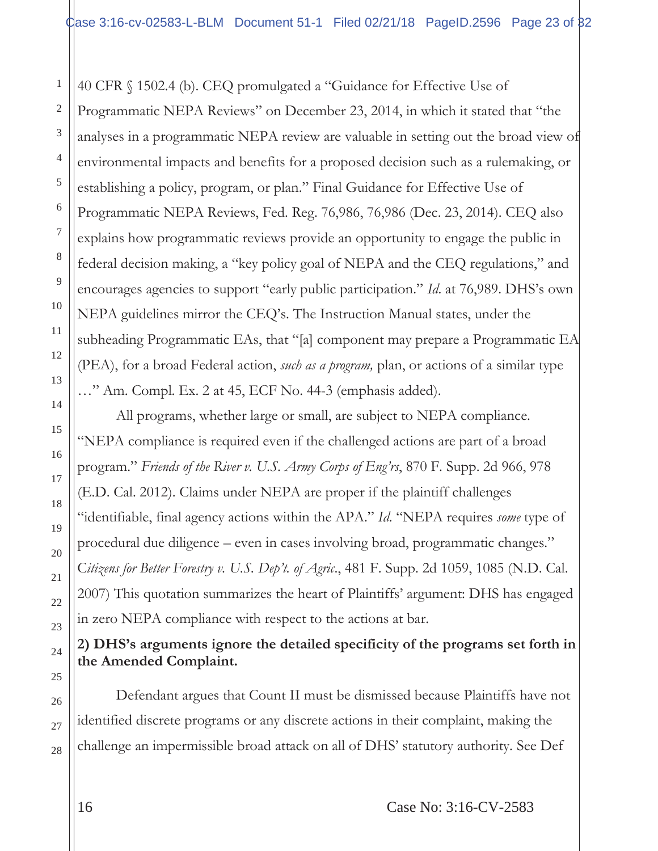40 CFR § 1502.4 (b). CEQ promulgated a "Guidance for Effective Use of Programmatic NEPA Reviews" on December 23, 2014, in which it stated that "the analyses in a programmatic NEPA review are valuable in setting out the broad view of environmental impacts and benefits for a proposed decision such as a rulemaking, or establishing a policy, program, or plan." Final Guidance for Effective Use of Programmatic NEPA Reviews, Fed. Reg. 76,986, 76,986 (Dec. 23, 2014). CEQ also explains how programmatic reviews provide an opportunity to engage the public in federal decision making, a "key policy goal of NEPA and the CEQ regulations," and encourages agencies to support "early public participation." *Id*. at 76,989. DHS's own NEPA guidelines mirror the CEQ's. The Instruction Manual states, under the subheading Programmatic EAs, that "[a] component may prepare a Programmatic EA (PEA), for a broad Federal action, *such as a program,* plan, or actions of a similar type …" Am. Compl. Ex. 2 at 45, ECF No. 44-3 (emphasis added).

All programs, whether large or small, are subject to NEPA compliance. "NEPA compliance is required even if the challenged actions are part of a broad program." *Friends of the River v. U.S. Army Corps of Eng'rs*, 870 F. Supp. 2d 966, 978 (E.D. Cal. 2012). Claims under NEPA are proper if the plaintiff challenges "identifiable, final agency actions within the APA." *Id*. "NEPA requires *some* type of procedural due diligence – even in cases involving broad, programmatic changes." C*itizens for Better Forestry v. U.S. Dep't. of Agric*., 481 F. Supp. 2d 1059, 1085 (N.D. Cal. 2007) This quotation summarizes the heart of Plaintiffs' argument: DHS has engaged in zero NEPA compliance with respect to the actions at bar.

# **2) DHS's arguments ignore the detailed specificity of the programs set forth in the Amended Complaint.**

Defendant argues that Count II must be dismissed because Plaintiffs have not identified discrete programs or any discrete actions in their complaint, making the challenge an impermissible broad attack on all of DHS' statutory authority. See Def

1

2

3

4

5

6

7

8

9

10

11

12

13

14

15

16

17

18

19

20

21

22

23

24

25

26

27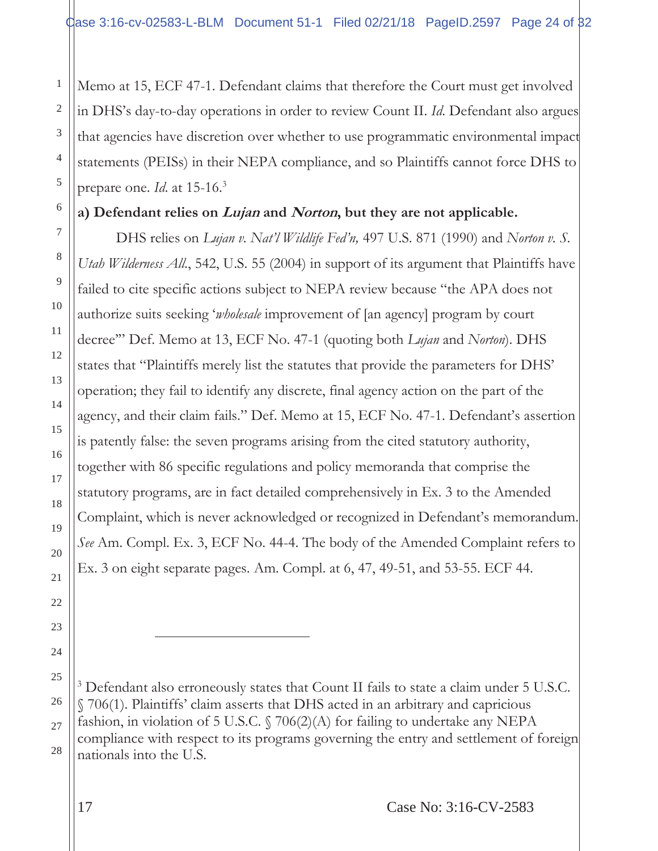Memo at 15, ECF 47-1. Defendant claims that therefore the Court must get involved in DHS's day-to-day operations in order to review Count II. *Id*. Defendant also argues that agencies have discretion over whether to use programmatic environmental impact statements (PEISs) in their NEPA compliance, and so Plaintiffs cannot force DHS to prepare one. *Id*. at 15-16.3

# **a) Defendant relies on Lujan and Norton, but they are not applicable.**

DHS relies on *Lujan v. Nat'l Wildlife Fed'n,* 497 U.S. 871 (1990) and *Norton v. S. Utah Wilderness All.*, 542, U.S. 55 (2004) in support of its argument that Plaintiffs have failed to cite specific actions subject to NEPA review because "the APA does not authorize suits seeking '*wholesale* improvement of [an agency] program by court decree'" Def. Memo at 13, ECF No. 47-1 (quoting both *Lujan* and *Norton*). DHS states that "Plaintiffs merely list the statutes that provide the parameters for DHS' operation; they fail to identify any discrete, final agency action on the part of the agency, and their claim fails." Def. Memo at 15, ECF No. 47-1. Defendant's assertion is patently false: the seven programs arising from the cited statutory authority, together with 86 specific regulations and policy memoranda that comprise the statutory programs, are in fact detailed comprehensively in Ex. 3 to the Amended Complaint, which is never acknowledged or recognized in Defendant's memorandum. *See* Am. Compl. Ex. 3, ECF No. 44-4. The body of the Amended Complaint refers to Ex. 3 on eight separate pages. Am. Compl. at 6, 47, 49-51, and 53-55. ECF 44.

 $\overline{a}$ 

<sup>&</sup>lt;sup>3</sup> Defendant also erroneously states that Count II fails to state a claim under 5 U.S.C. § 706(1). Plaintiffs' claim asserts that DHS acted in an arbitrary and capricious fashion, in violation of 5 U.S.C. § 706(2)(A) for failing to undertake any NEPA compliance with respect to its programs governing the entry and settlement of foreign nationals into the U.S.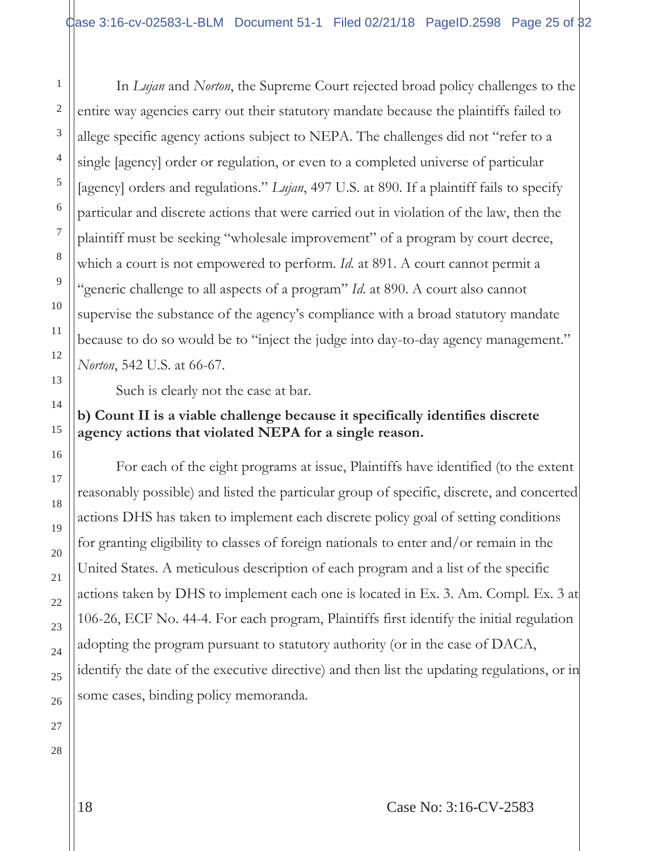In *Lujan* and *Norton*, the Supreme Court rejected broad policy challenges to the entire way agencies carry out their statutory mandate because the plaintiffs failed to allege specific agency actions subject to NEPA. The challenges did not "refer to a single [agency] order or regulation, or even to a completed universe of particular [agency] orders and regulations." *Lujan*, 497 U.S. at 890. If a plaintiff fails to specify particular and discrete actions that were carried out in violation of the law, then the plaintiff must be seeking "wholesale improvement" of a program by court decree, which a court is not empowered to perform. *Id.* at 891. A court cannot permit a "generic challenge to all aspects of a program" *Id*. at 890. A court also cannot supervise the substance of the agency's compliance with a broad statutory mandate because to do so would be to "inject the judge into day-to-day agency management." *Norton*, 542 U.S. at 66-67.

Such is clearly not the case at bar.

# **b) Count II is a viable challenge because it specifically identifies discrete agency actions that violated NEPA for a single reason.**

For each of the eight programs at issue, Plaintiffs have identified (to the extent reasonably possible) and listed the particular group of specific, discrete, and concerted actions DHS has taken to implement each discrete policy goal of setting conditions for granting eligibility to classes of foreign nationals to enter and/or remain in the United States. A meticulous description of each program and a list of the specific actions taken by DHS to implement each one is located in Ex. 3. Am. Compl. Ex. 3 at 106-26, ECF No. 44-4. For each program, Plaintiffs first identify the initial regulation adopting the program pursuant to statutory authority (or in the case of DACA, identify the date of the executive directive) and then list the updating regulations, or in some cases, binding policy memoranda.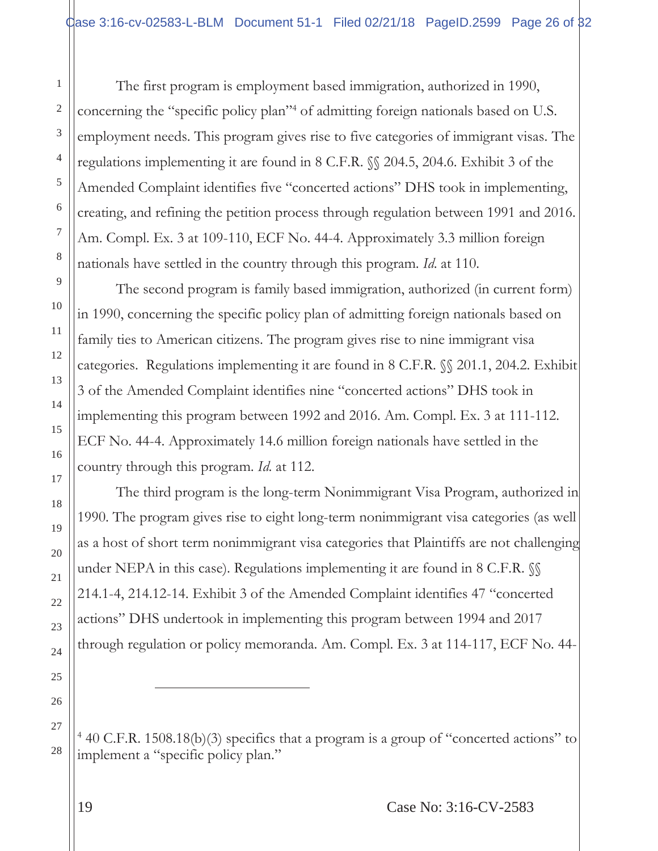The first program is employment based immigration, authorized in 1990, concerning the "specific policy plan"4 of admitting foreign nationals based on U.S. employment needs. This program gives rise to five categories of immigrant visas. The regulations implementing it are found in 8 C.F.R. §§ 204.5, 204.6. Exhibit 3 of the Amended Complaint identifies five "concerted actions" DHS took in implementing, creating, and refining the petition process through regulation between 1991 and 2016. Am. Compl. Ex. 3 at 109-110, ECF No. 44-4. Approximately 3.3 million foreign nationals have settled in the country through this program. *Id*. at 110.

The second program is family based immigration, authorized (in current form) in 1990, concerning the specific policy plan of admitting foreign nationals based on family ties to American citizens. The program gives rise to nine immigrant visa categories. Regulations implementing it are found in 8 C.F.R. §§ 201.1, 204.2. Exhibit 3 of the Amended Complaint identifies nine "concerted actions" DHS took in implementing this program between 1992 and 2016. Am. Compl. Ex. 3 at 111-112. ECF No. 44-4. Approximately 14.6 million foreign nationals have settled in the country through this program. *Id*. at 112.

The third program is the long-term Nonimmigrant Visa Program, authorized in 1990. The program gives rise to eight long-term nonimmigrant visa categories (as well as a host of short term nonimmigrant visa categories that Plaintiffs are not challenging under NEPA in this case). Regulations implementing it are found in 8 C.F.R.  $\%$ 214.1-4, 214.12-14. Exhibit 3 of the Amended Complaint identifies 47 "concerted actions" DHS undertook in implementing this program between 1994 and 2017 through regulation or policy memoranda. Am. Compl. Ex. 3 at 114-117, ECF No. 44-

<sup>4</sup> 40 C.F.R. 1508.18(b)(3) specifics that a program is a group of "concerted actions" to implement a "specific policy plan."

 $\overline{a}$ 

1

2

3

4

5

6

7

8

9

10

11

12

13

14

15

16

17

18

19

20

21

22

23

24

25

26

27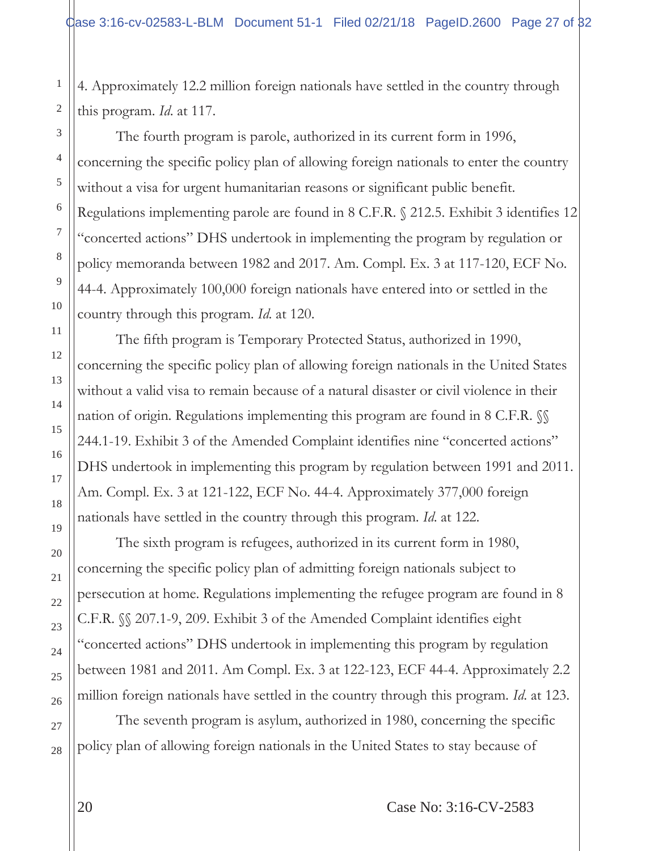4. Approximately 12.2 million foreign nationals have settled in the country through this program. *Id*. at 117.

The fourth program is parole, authorized in its current form in 1996, concerning the specific policy plan of allowing foreign nationals to enter the country without a visa for urgent humanitarian reasons or significant public benefit. Regulations implementing parole are found in 8 C.F.R. § 212.5. Exhibit 3 identifies 12 "concerted actions" DHS undertook in implementing the program by regulation or policy memoranda between 1982 and 2017. Am. Compl. Ex. 3 at 117-120, ECF No. 44-4. Approximately 100,000 foreign nationals have entered into or settled in the country through this program. *Id*. at 120.

The fifth program is Temporary Protected Status, authorized in 1990, concerning the specific policy plan of allowing foreign nationals in the United States without a valid visa to remain because of a natural disaster or civil violence in their nation of origin. Regulations implementing this program are found in 8 C.F.R.  $\%$ 244.1-19. Exhibit 3 of the Amended Complaint identifies nine "concerted actions" DHS undertook in implementing this program by regulation between 1991 and 2011. Am. Compl. Ex. 3 at 121-122, ECF No. 44-4. Approximately 377,000 foreign nationals have settled in the country through this program. *Id*. at 122.

The sixth program is refugees, authorized in its current form in 1980, concerning the specific policy plan of admitting foreign nationals subject to persecution at home. Regulations implementing the refugee program are found in 8 C.F.R. §§ 207.1-9, 209. Exhibit 3 of the Amended Complaint identifies eight "concerted actions" DHS undertook in implementing this program by regulation between 1981 and 2011. Am Compl. Ex. 3 at 122-123, ECF 44-4. Approximately 2.2 million foreign nationals have settled in the country through this program. *Id*. at 123.

The seventh program is asylum, authorized in 1980, concerning the specific policy plan of allowing foreign nationals in the United States to stay because of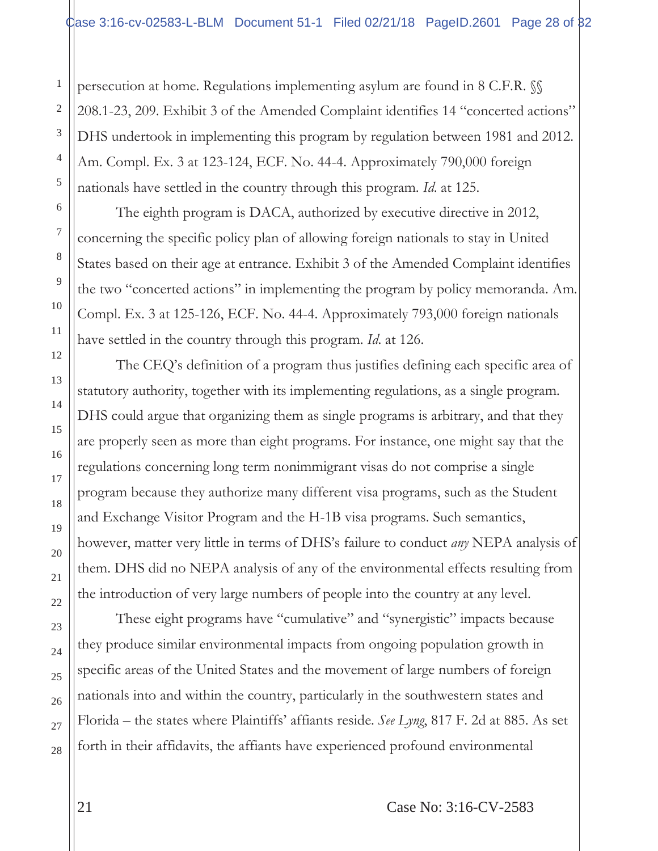persecution at home. Regulations implementing asylum are found in 8 C.F.R. §§ 208.1-23, 209. Exhibit 3 of the Amended Complaint identifies 14 "concerted actions" DHS undertook in implementing this program by regulation between 1981 and 2012. Am. Compl. Ex. 3 at 123-124, ECF. No. 44-4. Approximately 790,000 foreign nationals have settled in the country through this program. *Id*. at 125.

The eighth program is DACA, authorized by executive directive in 2012, concerning the specific policy plan of allowing foreign nationals to stay in United States based on their age at entrance. Exhibit 3 of the Amended Complaint identifies the two "concerted actions" in implementing the program by policy memoranda. Am. Compl. Ex. 3 at 125-126, ECF. No. 44-4. Approximately 793,000 foreign nationals have settled in the country through this program. *Id*. at 126.

 The CEQ's definition of a program thus justifies defining each specific area of statutory authority, together with its implementing regulations, as a single program. DHS could argue that organizing them as single programs is arbitrary, and that they are properly seen as more than eight programs. For instance, one might say that the regulations concerning long term nonimmigrant visas do not comprise a single program because they authorize many different visa programs, such as the Student and Exchange Visitor Program and the H-1B visa programs. Such semantics, however, matter very little in terms of DHS's failure to conduct *any* NEPA analysis of them. DHS did no NEPA analysis of any of the environmental effects resulting from the introduction of very large numbers of people into the country at any level.

These eight programs have "cumulative" and "synergistic" impacts because they produce similar environmental impacts from ongoing population growth in specific areas of the United States and the movement of large numbers of foreign nationals into and within the country, particularly in the southwestern states and Florida – the states where Plaintiffs' affiants reside. *See Lyng*, 817 F. 2d at 885. As set forth in their affidavits, the affiants have experienced profound environmental

1

2

3

4

5

6

7

8

9

10

11

12

13

14

15

16

17

18

19

20

21

22

23

24

25

26

27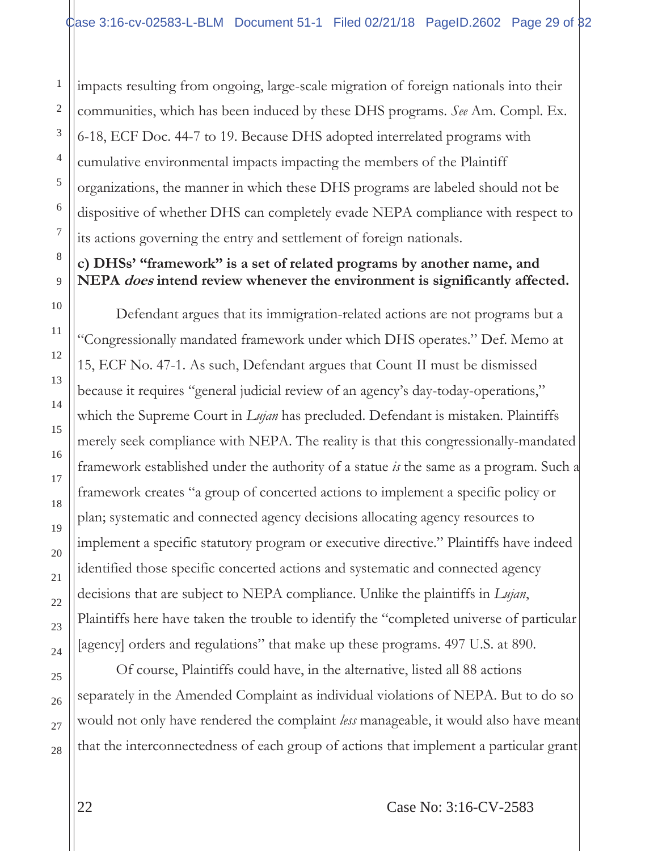impacts resulting from ongoing, large-scale migration of foreign nationals into their communities, which has been induced by these DHS programs. *See* Am. Compl. Ex. 6-18, ECF Doc. 44-7 to 19. Because DHS adopted interrelated programs with cumulative environmental impacts impacting the members of the Plaintiff organizations, the manner in which these DHS programs are labeled should not be dispositive of whether DHS can completely evade NEPA compliance with respect to its actions governing the entry and settlement of foreign nationals.

# **c) DHSs' "framework" is a set of related programs by another name, and NEPA does intend review whenever the environment is significantly affected.**

Defendant argues that its immigration-related actions are not programs but a "Congressionally mandated framework under which DHS operates." Def. Memo at 15, ECF No. 47-1. As such, Defendant argues that Count II must be dismissed because it requires "general judicial review of an agency's day-today-operations," which the Supreme Court in *Lujan* has precluded. Defendant is mistaken. Plaintiffs merely seek compliance with NEPA. The reality is that this congressionally-mandated framework established under the authority of a statue *is* the same as a program. Such a framework creates "a group of concerted actions to implement a specific policy or plan; systematic and connected agency decisions allocating agency resources to implement a specific statutory program or executive directive." Plaintiffs have indeed identified those specific concerted actions and systematic and connected agency decisions that are subject to NEPA compliance. Unlike the plaintiffs in *Lujan*, Plaintiffs here have taken the trouble to identify the "completed universe of particular [agency] orders and regulations" that make up these programs. 497 U.S. at 890.

Of course, Plaintiffs could have, in the alternative, listed all 88 actions separately in the Amended Complaint as individual violations of NEPA. But to do so would not only have rendered the complaint *less* manageable, it would also have meant that the interconnectedness of each group of actions that implement a particular grant

1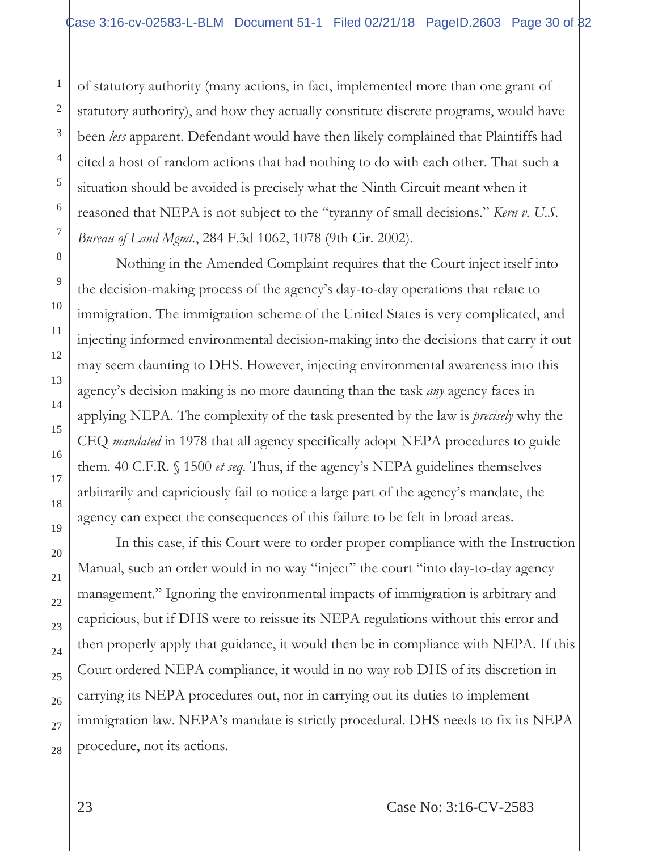of statutory authority (many actions, in fact, implemented more than one grant of statutory authority), and how they actually constitute discrete programs, would have been *less* apparent. Defendant would have then likely complained that Plaintiffs had cited a host of random actions that had nothing to do with each other. That such a situation should be avoided is precisely what the Ninth Circuit meant when it reasoned that NEPA is not subject to the "tyranny of small decisions." *Kern v. U.S. Bureau of Land Mgmt.*, 284 F.3d 1062, 1078 (9th Cir. 2002).

Nothing in the Amended Complaint requires that the Court inject itself into the decision-making process of the agency's day-to-day operations that relate to immigration. The immigration scheme of the United States is very complicated, and injecting informed environmental decision-making into the decisions that carry it out may seem daunting to DHS. However, injecting environmental awareness into this agency's decision making is no more daunting than the task *any* agency faces in applying NEPA. The complexity of the task presented by the law is *precisely* why the CEQ *mandated* in 1978 that all agency specifically adopt NEPA procedures to guide them. 40 C.F.R. § 1500 *et seq*. Thus, if the agency's NEPA guidelines themselves arbitrarily and capriciously fail to notice a large part of the agency's mandate, the agency can expect the consequences of this failure to be felt in broad areas.

In this case, if this Court were to order proper compliance with the Instruction Manual, such an order would in no way "inject" the court "into day-to-day agency management." Ignoring the environmental impacts of immigration is arbitrary and capricious, but if DHS were to reissue its NEPA regulations without this error and then properly apply that guidance, it would then be in compliance with NEPA. If this Court ordered NEPA compliance, it would in no way rob DHS of its discretion in carrying its NEPA procedures out, nor in carrying out its duties to implement immigration law. NEPA's mandate is strictly procedural. DHS needs to fix its NEPA procedure, not its actions.

1

2

3

4

5

6

7

8

9

10

11

12

13

14

15

16

17

18

19

20

21

22

23

24

25

26

27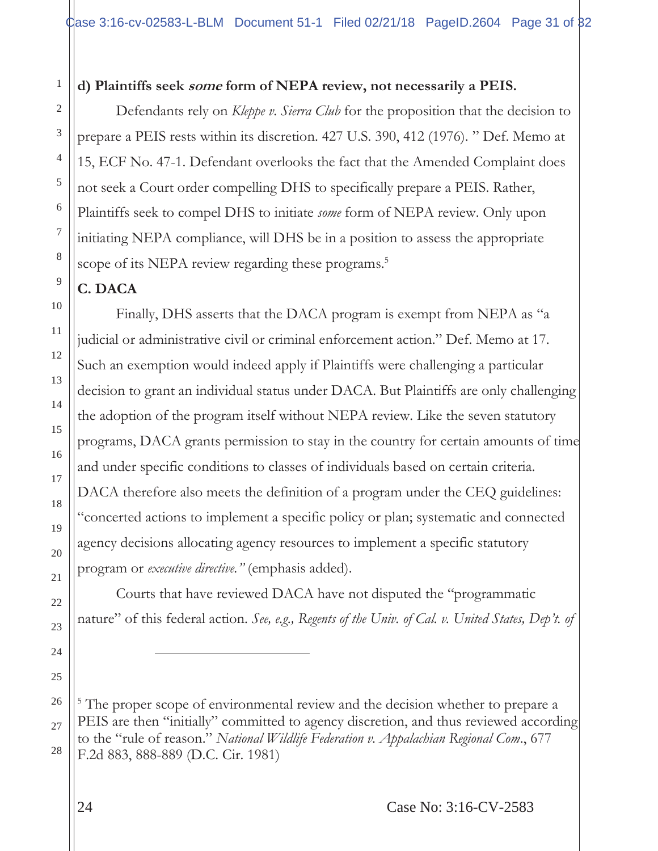# **d) Plaintiffs seek some form of NEPA review, not necessarily a PEIS.**

Defendants rely on *Kleppe v. Sierra Club* for the proposition that the decision to prepare a PEIS rests within its discretion. 427 U.S. 390, 412 (1976). " Def. Memo at 15, ECF No. 47-1. Defendant overlooks the fact that the Amended Complaint does not seek a Court order compelling DHS to specifically prepare a PEIS. Rather, Plaintiffs seek to compel DHS to initiate *some* form of NEPA review. Only upon initiating NEPA compliance, will DHS be in a position to assess the appropriate scope of its NEPA review regarding these programs.<sup>5</sup>

# **C. DACA**

Finally, DHS asserts that the DACA program is exempt from NEPA as "a judicial or administrative civil or criminal enforcement action." Def. Memo at 17. Such an exemption would indeed apply if Plaintiffs were challenging a particular decision to grant an individual status under DACA. But Plaintiffs are only challenging the adoption of the program itself without NEPA review. Like the seven statutory programs, DACA grants permission to stay in the country for certain amounts of time and under specific conditions to classes of individuals based on certain criteria. DACA therefore also meets the definition of a program under the CEQ guidelines: "concerted actions to implement a specific policy or plan; systematic and connected agency decisions allocating agency resources to implement a specific statutory program or *executive directive."* (emphasis added).

Courts that have reviewed DACA have not disputed the "programmatic nature" of this federal action. *See, e.g*.*, Regents of the Univ. of Cal. v. United States, Dep't. of* 

<sup>5</sup> The proper scope of environmental review and the decision whether to prepare a PEIS are then "initially" committed to agency discretion, and thus reviewed according to the "rule of reason." *National Wildlife Federation v. Appalachian Regional Com*., 677 F.2d 883, 888-889 (D.C. Cir. 1981)

1

 $\overline{a}$